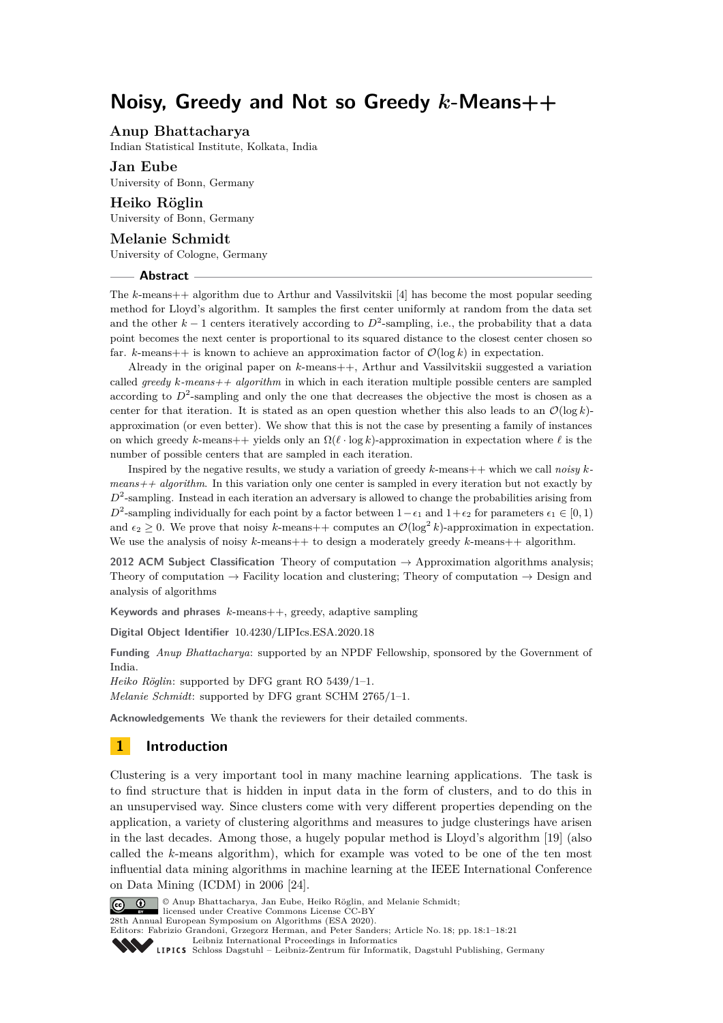# **Noisy, Greedy and Not so Greedy** *k***-Means++**

# **Anup Bhattacharya**

Indian Statistical Institute, Kolkata, India

**Jan Eube** University of Bonn, Germany

**Heiko Röglin** University of Bonn, Germany

# **Melanie Schmidt**

University of Cologne, Germany

# **Abstract**

The *k*-means++ algorithm due to Arthur and Vassilvitskii [\[4\]](#page-19-0) has become the most popular seeding method for Lloyd's algorithm. It samples the first center uniformly at random from the data set and the other  $k-1$  centers iteratively according to  $D^2$ -sampling, i.e., the probability that a data point becomes the next center is proportional to its squared distance to the closest center chosen so far. *k*-means++ is known to achieve an approximation factor of  $\mathcal{O}(\log k)$  in expectation.

Already in the original paper on *k*-means++, Arthur and Vassilvitskii suggested a variation called *greedy k-means++ algorithm* in which in each iteration multiple possible centers are sampled according to  $D^2$ -sampling and only the one that decreases the objective the most is chosen as a center for that iteration. It is stated as an open question whether this also leads to an  $\mathcal{O}(\log k)$ approximation (or even better). We show that this is not the case by presenting a family of instances on which greedy *k*-means++ yields only an  $\Omega(\ell \cdot \log k)$ -approximation in expectation where  $\ell$  is the number of possible centers that are sampled in each iteration.

Inspired by the negative results, we study a variation of greedy *k*-means++ which we call *noisy k* $means++ algorithm$ . In this variation only one center is sampled in every iteration but not exactly by  $D^2$ -sampling. Instead in each iteration an adversary is allowed to change the probabilities arising from  $D^2$ -sampling individually for each point by a factor between 1- $\epsilon_1$  and 1+ $\epsilon_2$  for parameters  $\epsilon_1 \in [0,1)$ and  $\epsilon_2 \geq 0$ . We prove that noisy *k*-means + computes an  $\mathcal{O}(\log^2 k)$ -approximation in expectation. We use the analysis of noisy  $k$ -means++ to design a moderately greedy  $k$ -means++ algorithm.

**2012 ACM Subject Classification** Theory of computation → Approximation algorithms analysis; Theory of computation  $\rightarrow$  Facility location and clustering; Theory of computation  $\rightarrow$  Design and analysis of algorithms

**Keywords and phrases** *k*-means++, greedy, adaptive sampling

**Digital Object Identifier** [10.4230/LIPIcs.ESA.2020.18](https://doi.org/10.4230/LIPIcs.ESA.2020.18)

**Funding** *Anup Bhattacharya*: supported by an NPDF Fellowship, sponsored by the Government of India.

*Heiko Röglin*: supported by DFG grant RO 5439/1–1.

*Melanie Schmidt*: supported by DFG grant SCHM 2765/1–1.

**Acknowledgements** We thank the reviewers for their detailed comments.

# **1 Introduction**

Clustering is a very important tool in many machine learning applications. The task is to find structure that is hidden in input data in the form of clusters, and to do this in an unsupervised way. Since clusters come with very different properties depending on the application, a variety of clustering algorithms and measures to judge clusterings have arisen in the last decades. Among those, a hugely popular method is Lloyd's algorithm [\[19\]](#page-19-1) (also called the *k*-means algorithm), which for example was voted to be one of the ten most influential data mining algorithms in machine learning at the IEEE International Conference on Data Mining (ICDM) in 2006 [\[24\]](#page-20-0).



© Anup Bhattacharya, Jan Eube, Heiko Röglin, and Melanie Schmidt;

licensed under Creative Commons License CC-BY 28th Annual European Symposium on Algorithms (ESA 2020).

Editors: Fabrizio Grandoni, Grzegorz Herman, and Peter Sanders; Article No. 18; pp. 18:1–18[:21](#page-20-1)

[Leibniz International Proceedings in Informatics](https://www.dagstuhl.de/lipics/)

Leibniz International Froceedings in miormatics<br>
LIPICS [Schloss Dagstuhl – Leibniz-Zentrum für Informatik, Dagstuhl Publishing, Germany](https://www.dagstuhl.de)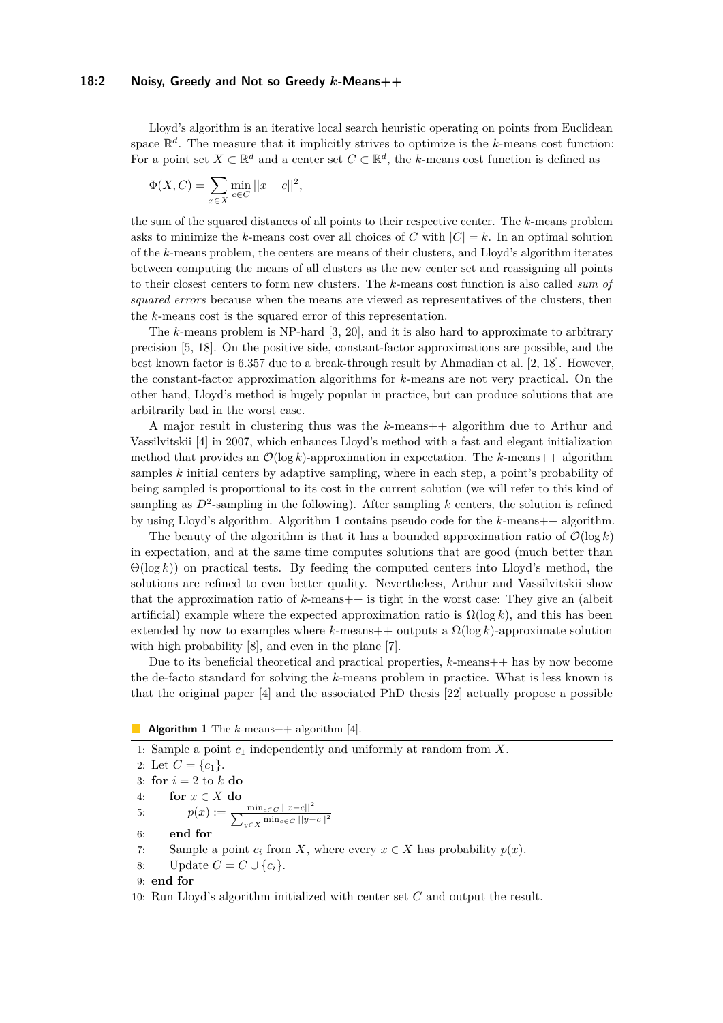## **18:2 Noisy, Greedy and Not so Greedy** *k***-Means++**

Lloyd's algorithm is an iterative local search heuristic operating on points from Euclidean space  $\mathbb{R}^d$ . The measure that it implicitly strives to optimize is the *k*-means cost function: For a point set  $X \subset \mathbb{R}^d$  and a center set  $C \subset \mathbb{R}^d$ , the *k*-means cost function is defined as

$$
\Phi(X, C) = \sum_{x \in X} \min_{c \in C} ||x - c||^2,
$$

the sum of the squared distances of all points to their respective center. The *k*-means problem asks to minimize the *k*-means cost over all choices of *C* with  $|C| = k$ . In an optimal solution of the *k*-means problem, the centers are means of their clusters, and Lloyd's algorithm iterates between computing the means of all clusters as the new center set and reassigning all points to their closest centers to form new clusters. The *k*-means cost function is also called *sum of squared errors* because when the means are viewed as representatives of the clusters, then the *k*-means cost is the squared error of this representation.

The *k*-means problem is NP-hard [\[3,](#page-19-2) [20\]](#page-20-2), and it is also hard to approximate to arbitrary precision [\[5,](#page-19-3) [18\]](#page-19-4). On the positive side, constant-factor approximations are possible, and the best known factor is 6.357 due to a break-through result by Ahmadian et al. [\[2,](#page-19-5) [18\]](#page-19-4). However, the constant-factor approximation algorithms for *k*-means are not very practical. On the other hand, Lloyd's method is hugely popular in practice, but can produce solutions that are arbitrarily bad in the worst case.

A major result in clustering thus was the *k*-means++ algorithm due to Arthur and Vassilvitskii [\[4\]](#page-19-0) in 2007, which enhances Lloyd's method with a fast and elegant initialization method that provides an  $\mathcal{O}(\log k)$ -approximation in expectation. The *k*-means++ algorithm samples *k* initial centers by adaptive sampling, where in each step, a point's probability of being sampled is proportional to its cost in the current solution (we will refer to this kind of sampling as  $D^2$ -sampling in the following). After sampling k centers, the solution is refined by using Lloyd's algorithm. Algorithm [1](#page-1-0) contains pseudo code for the *k*-means++ algorithm.

The beauty of the algorithm is that it has a bounded approximation ratio of  $\mathcal{O}(\log k)$ in expectation, and at the same time computes solutions that are good (much better than Θ(log *k*)) on practical tests. By feeding the computed centers into Lloyd's method, the solutions are refined to even better quality. Nevertheless, Arthur and Vassilvitskii show that the approximation ratio of  $k$ -means  $++$  is tight in the worst case: They give an (albeit artificial) example where the expected approximation ratio is  $\Omega(\log k)$ , and this has been extended by now to examples where  $k$ -means++ outputs a  $\Omega(\log k)$ -approximate solution with high probability [\[8\]](#page-19-6), and even in the plane [\[7\]](#page-19-7).

Due to its beneficial theoretical and practical properties, *k*-means++ has by now become the de-facto standard for solving the *k*-means problem in practice. What is less known is that the original paper [\[4\]](#page-19-0) and the associated PhD thesis [\[22\]](#page-20-3) actually propose a possible

<span id="page-1-0"></span>**Algorithm 1** The *k*-means++ algorithm [\[4\]](#page-19-0).

1: Sample a point *c*<sup>1</sup> independently and uniformly at random from *X*. 2: Let  $C = \{c_1\}.$ 3: **for**  $i = 2$  to  $k$  **do** 4: **for** *x* ∈ *X* **do** 5:  $p(x) := \frac{\min_{c \in C} ||x - c||^2}{\sum_{y \in X} \min_{c \in C} ||y - c||^2}$ 6: **end for** 7: Sample a point  $c_i$  from *X*, where every  $x \in X$  has probability  $p(x)$ . 8: Update  $C = C \cup \{c_i\}.$ 9: **end for** 10: Run Lloyd's algorithm initialized with center set *C* and output the result.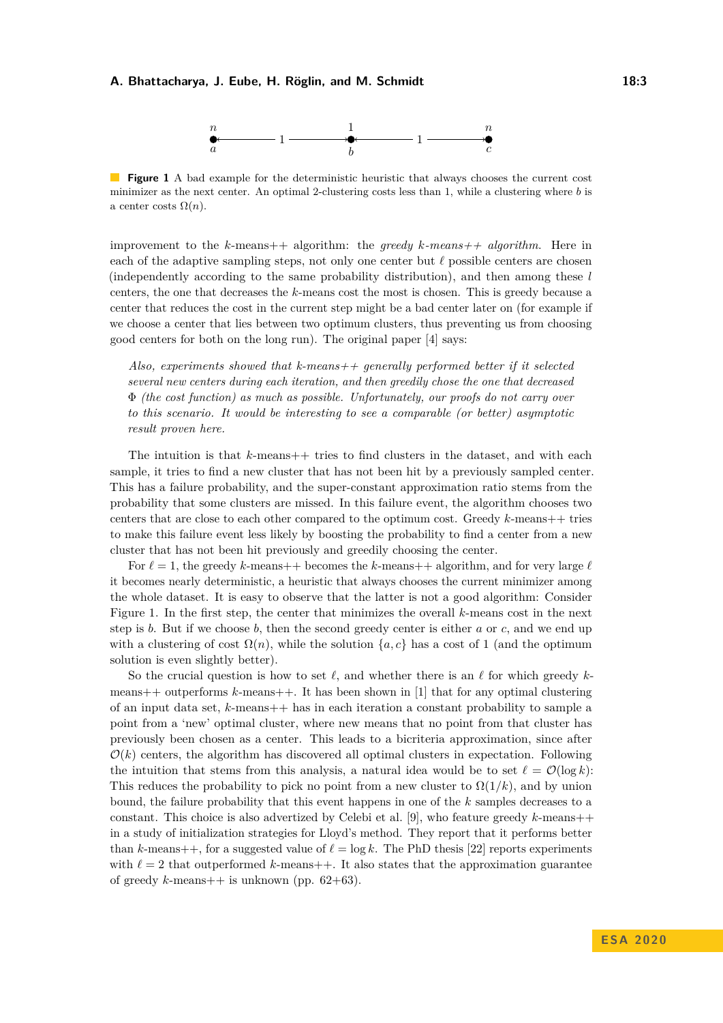

<span id="page-2-0"></span>**Figure 1** A bad example for the deterministic heuristic that always chooses the current cost minimizer as the next center. An optimal 2-clustering costs less than 1, while a clustering where *b* is a center costs  $\Omega(n)$ .

improvement to the *k*-means++ algorithm: the *greedy k-means++ algorithm*. Here in each of the adaptive sampling steps, not only one center but  $\ell$  possible centers are chosen (independently according to the same probability distribution), and then among these *l* centers, the one that decreases the *k*-means cost the most is chosen. This is greedy because a center that reduces the cost in the current step might be a bad center later on (for example if we choose a center that lies between two optimum clusters, thus preventing us from choosing good centers for both on the long run). The original paper [\[4\]](#page-19-0) says:

*Also, experiments showed that k-means++ generally performed better if it selected several new centers during each iteration, and then greedily chose the one that decreased* Φ *(the cost function) as much as possible. Unfortunately, our proofs do not carry over to this scenario. It would be interesting to see a comparable (or better) asymptotic result proven here.*

The intuition is that *k*-means++ tries to find clusters in the dataset, and with each sample, it tries to find a new cluster that has not been hit by a previously sampled center. This has a failure probability, and the super-constant approximation ratio stems from the probability that some clusters are missed. In this failure event, the algorithm chooses two centers that are close to each other compared to the optimum cost. Greedy *k*-means++ tries to make this failure event less likely by boosting the probability to find a center from a new cluster that has not been hit previously and greedily choosing the center.

For  $\ell = 1$ , the greedy *k*-means++ becomes the *k*-means++ algorithm, and for very large  $\ell$ it becomes nearly deterministic, a heuristic that always chooses the current minimizer among the whole dataset. It is easy to observe that the latter is not a good algorithm: Consider Figure [1.](#page-2-0) In the first step, the center that minimizes the overall *k*-means cost in the next step is *b*. But if we choose *b*, then the second greedy center is either *a* or *c*, and we end up with a clustering of cost  $\Omega(n)$ , while the solution  $\{a, c\}$  has a cost of 1 (and the optimum solution is even slightly better).

So the crucial question is how to set  $\ell$ , and whether there is an  $\ell$  for which greedy  $k$ means++ outperforms *k*-means++. It has been shown in [\[1\]](#page-19-8) that for any optimal clustering of an input data set, *k*-means++ has in each iteration a constant probability to sample a point from a 'new' optimal cluster, where new means that no point from that cluster has previously been chosen as a center. This leads to a bicriteria approximation, since after  $\mathcal{O}(k)$  centers, the algorithm has discovered all optimal clusters in expectation. Following the intuition that stems from this analysis, a natural idea would be to set  $\ell = \mathcal{O}(\log k)$ : This reduces the probability to pick no point from a new cluster to  $\Omega(1/k)$ , and by union bound, the failure probability that this event happens in one of the *k* samples decreases to a constant. This choice is also advertized by Celebi et al. [\[9\]](#page-19-9), who feature greedy *k*-means++ in a study of initialization strategies for Lloyd's method. They report that it performs better than *k*-means++, for a suggested value of  $\ell = \log k$ . The PhD thesis [\[22\]](#page-20-3) reports experiments with  $\ell = 2$  that outperformed *k*-means++. It also states that the approximation guarantee of greedy  $k$ -means++ is unknown (pp.  $62+63$ ).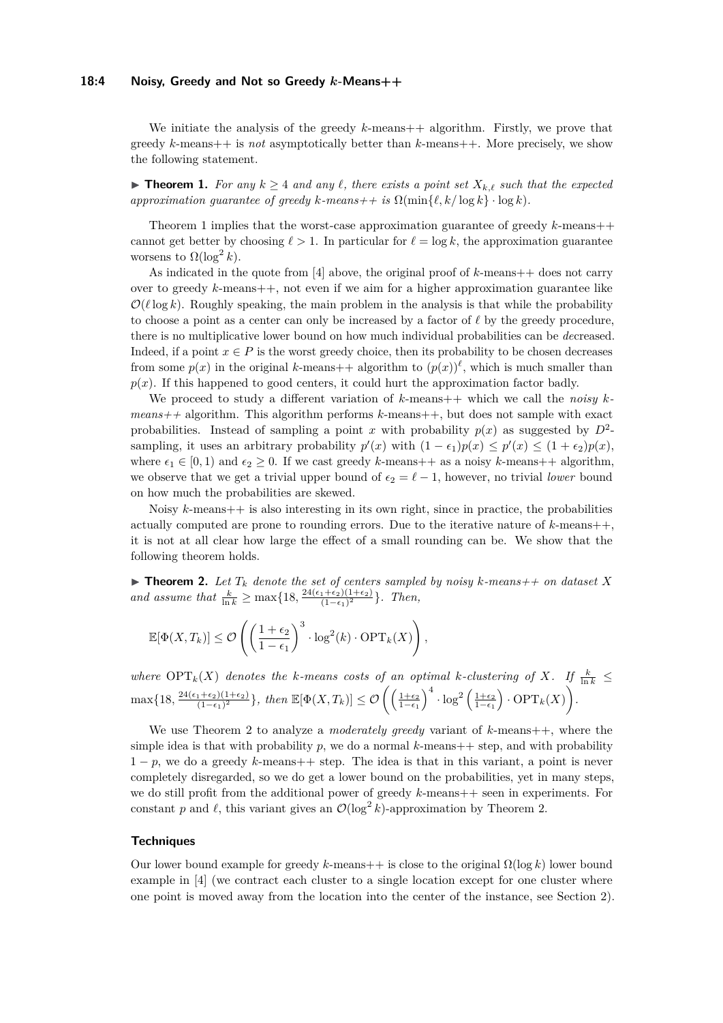# **18:4 Noisy, Greedy and Not so Greedy** *k***-Means++**

We initiate the analysis of the greedy *k*-means + algorithm. Firstly, we prove that greedy *k*-means++ is *not* asymptotically better than *k*-means++. More precisely, we show the following statement.

<span id="page-3-0"></span>▶ **Theorem 1.** *For any*  $k \geq 4$  *and any*  $\ell$ *, there exists a point set*  $X_{k,\ell}$  *such that the expected approximation quarantee of greedy*  $k$ *-means++ is*  $\Omega(\min\{\ell, k / \log k\} \cdot \log k)$ .

Theorem [1](#page-3-0) implies that the worst-case approximation guarantee of greedy *k*-means++ cannot get better by choosing  $\ell > 1$ . In particular for  $\ell = \log k$ , the approximation guarantee worsens to  $\Omega(\log^2 k)$ .

As indicated in the quote from [\[4\]](#page-19-0) above, the original proof of *k*-means++ does not carry over to greedy *k*-means++, not even if we aim for a higher approximation guarantee like  $\mathcal{O}(\ell \log k)$ . Roughly speaking, the main problem in the analysis is that while the probability to choose a point as a center can only be increased by a factor of  $\ell$  by the greedy procedure, there is no multiplicative lower bound on how much individual probabilities can be *de*creased. Indeed, if a point  $x \in P$  is the worst greedy choice, then its probability to be chosen decreases from some  $p(x)$  in the original *k*-means++ algorithm to  $(p(x))^{\ell}$ , which is much smaller than  $p(x)$ . If this happened to good centers, it could hurt the approximation factor badly.

We proceed to study a different variation of k-means  $+$  which we call the *noisy* k*means++* algorithm. This algorithm performs *k*-means++, but does not sample with exact probabilities. Instead of sampling a point *x* with probability  $p(x)$  as suggested by  $D^2$ . sampling, it uses an arbitrary probability  $p'(x)$  with  $(1 - \epsilon_1)p(x) \leq p'(x) \leq (1 + \epsilon_2)p(x)$ , where  $\epsilon_1 \in [0, 1)$  and  $\epsilon_2 \geq 0$ . If we cast greedy *k*-means++ as a noisy *k*-means++ algorithm, we observe that we get a trivial upper bound of  $\epsilon_2 = \ell - 1$ , however, no trivial *lower* bound on how much the probabilities are skewed.

Noisy *k*-means++ is also interesting in its own right, since in practice, the probabilities actually computed are prone to rounding errors. Due to the iterative nature of *k*-means++, it is not at all clear how large the effect of a small rounding can be. We show that the following theorem holds.

<span id="page-3-1"></span>**Find 12.** Let  $T_k$  denote the set of centers sampled by noisy  $k$ -means++ on dataset  $X$ *and assume that*  $\frac{k}{\ln k} \ge \max\{18, \frac{24(\epsilon_1 + \epsilon_2)(1+\epsilon_2)}{(1-\epsilon_1)^2}\}$  $\frac{(1+\epsilon_2)(1+\epsilon_2)}{(1-\epsilon_1)^2}$ . *Then,* 

$$
\mathbb{E}[\Phi(X, T_k)] \leq \mathcal{O}\left(\left(\frac{1+\epsilon_2}{1-\epsilon_1}\right)^3 \cdot \log^2(k) \cdot \text{OPT}_k(X)\right),\,
$$

*where*  $\text{OPT}_k(X)$  *denotes the k-means costs of an optimal k-clustering of X. If*  $\frac{k}{\ln k}$   $\leq$  $\max\{18, \frac{24(\epsilon_1+\epsilon_2)(1+\epsilon_2)}{(1-\epsilon_1)^2}\}$  $\frac{1+\epsilon_2(1+\epsilon_2)}{(1-\epsilon_1)^2}$ , then  $\mathbb{E}[\Phi(X,T_k)] \leq \mathcal{O}\left(\left(\frac{1+\epsilon_2}{1-\epsilon_1}\right)^4 \cdot \log^2\left(\frac{1+\epsilon_2}{1-\epsilon_1}\right) \cdot \text{OPT}_k(X)\right)$ .

We use Theorem [2](#page-3-1) to analyze a *moderately greedy* variant of *k*-means++, where the simple idea is that with probability  $p$ , we do a normal  $k$ -means  $+$  step, and with probability  $1 - p$ , we do a greedy *k*-means++ step. The idea is that in this variant, a point is never completely disregarded, so we do get a lower bound on the probabilities, yet in many steps, we do still profit from the additional power of greedy *k*-means++ seen in experiments. For constant *p* and  $\ell$ , this variant gives an  $\mathcal{O}(\log^2 k)$ -approximation by Theorem [2.](#page-3-1)

# **Techniques**

Our lower bound example for greedy  $k$ -means++ is close to the original  $\Omega(\log k)$  lower bound example in [\[4\]](#page-19-0) (we contract each cluster to a single location except for one cluster where one point is moved away from the location into the center of the instance, see Section [2\)](#page-5-0).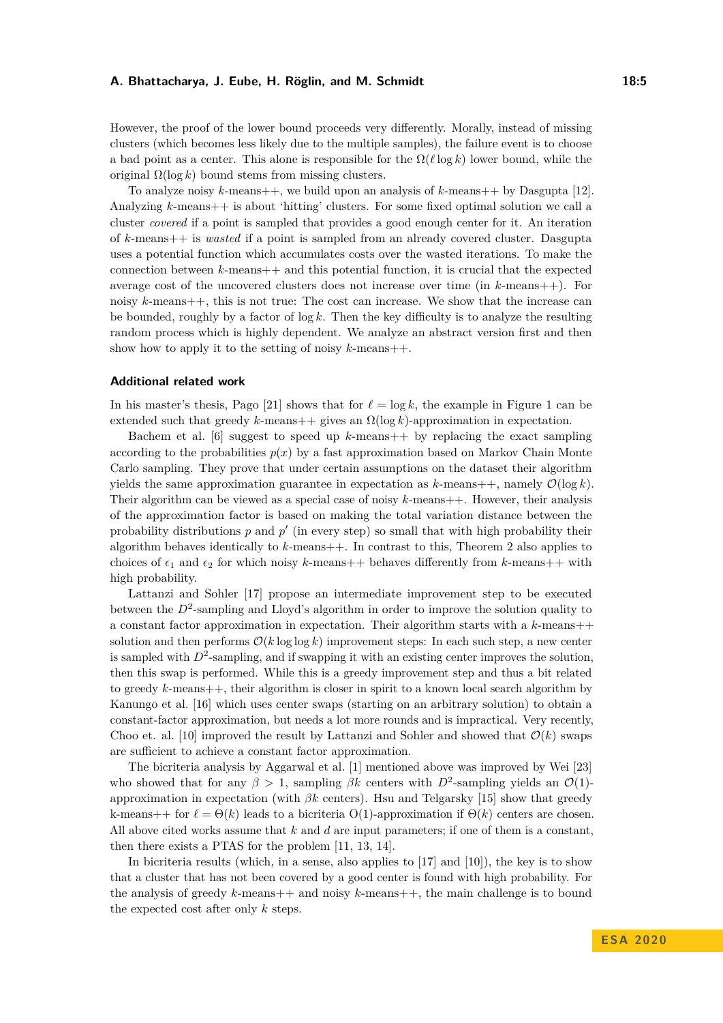However, the proof of the lower bound proceeds very differently. Morally, instead of missing clusters (which becomes less likely due to the multiple samples), the failure event is to choose a bad point as a center. This alone is responsible for the  $\Omega(\ell \log k)$  lower bound, while the original  $\Omega(\log k)$  bound stems from missing clusters.

To analyze noisy *k*-means++, we build upon an analysis of *k*-means++ by Dasgupta [\[12\]](#page-19-10). Analyzing *k*-means++ is about 'hitting' clusters. For some fixed optimal solution we call a cluster *covered* if a point is sampled that provides a good enough center for it. An iteration of *k*-means++ is *wasted* if a point is sampled from an already covered cluster. Dasgupta uses a potential function which accumulates costs over the wasted iterations. To make the connection between  $k$ -means  $+$  and this potential function, it is crucial that the expected average cost of the uncovered clusters does not increase over time (in *k*-means++). For noisy *k*-means++, this is not true: The cost can increase. We show that the increase can be bounded, roughly by a factor of log *k*. Then the key difficulty is to analyze the resulting random process which is highly dependent. We analyze an abstract version first and then show how to apply it to the setting of noisy *k*-means++.

## **Additional related work**

In his master's thesis, Pago [\[21\]](#page-20-4) shows that for  $\ell = \log k$ , the example in Figure [1](#page-2-0) can be extended such that greedy  $k$ -means++ gives an  $\Omega(\log k)$ -approximation in expectation.

Bachem et al. [\[6\]](#page-19-11) suggest to speed up *k*-means++ by replacing the exact sampling according to the probabilities  $p(x)$  by a fast approximation based on Markov Chain Monte Carlo sampling. They prove that under certain assumptions on the dataset their algorithm yields the same approximation guarantee in expectation as  $k$ -means++, namely  $\mathcal{O}(\log k)$ . Their algorithm can be viewed as a special case of noisy *k*-means++. However, their analysis of the approximation factor is based on making the total variation distance between the probability distributions  $p$  and  $p'$  (in every step) so small that with high probability their algorithm behaves identically to *k*-means++. In contrast to this, Theorem [2](#page-3-1) also applies to choices of  $\epsilon_1$  and  $\epsilon_2$  for which noisy *k*-means++ behaves differently from *k*-means++ with high probability.

Lattanzi and Sohler [\[17\]](#page-19-12) propose an intermediate improvement step to be executed between the  $D^2$ -sampling and Lloyd's algorithm in order to improve the solution quality to a constant factor approximation in expectation. Their algorithm starts with a *k*-means++ solution and then performs  $\mathcal{O}(k \log \log k)$  improvement steps: In each such step, a new center is sampled with  $D^2$ -sampling, and if swapping it with an existing center improves the solution, then this swap is performed. While this is a greedy improvement step and thus a bit related to greedy *k*-means++, their algorithm is closer in spirit to a known local search algorithm by Kanungo et al. [\[16\]](#page-19-13) which uses center swaps (starting on an arbitrary solution) to obtain a constant-factor approximation, but needs a lot more rounds and is impractical. Very recently, Choo et. al. [\[10\]](#page-19-14) improved the result by Lattanzi and Sohler and showed that  $\mathcal{O}(k)$  swaps are sufficient to achieve a constant factor approximation.

The bicriteria analysis by Aggarwal et al. [\[1\]](#page-19-8) mentioned above was improved by Wei [\[23\]](#page-20-5) who showed that for any  $\beta > 1$ , sampling  $\beta k$  centers with  $D^2$ -sampling yields an  $\mathcal{O}(1)$ approximation in expectation (with *βk* centers). Hsu and Telgarsky [\[15\]](#page-19-15) show that greedy k-means++ for  $\ell = \Theta(k)$  leads to a bicriteria  $O(1)$ -approximation if  $\Theta(k)$  centers are chosen. All above cited works assume that *k* and *d* are input parameters; if one of them is a constant, then there exists a PTAS for the problem [\[11,](#page-19-16) [13,](#page-19-17) [14\]](#page-19-18).

In bicriteria results (which, in a sense, also applies to [\[17\]](#page-19-12) and [\[10\]](#page-19-14)), the key is to show that a cluster that has not been covered by a good center is found with high probability. For the analysis of greedy *k*-means++ and noisy *k*-means++, the main challenge is to bound the expected cost after only *k* steps.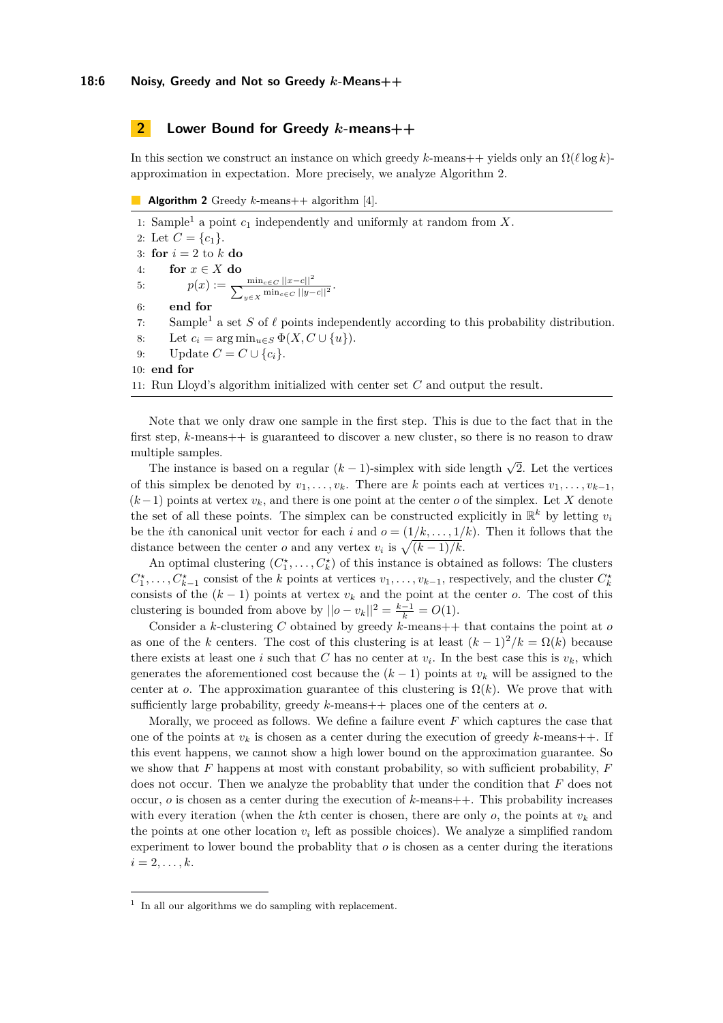# <span id="page-5-0"></span>**2 Lower Bound for Greedy** *k***-means++**

In this section we construct an instance on which greedy  $k$ -means++ yields only an  $\Omega(\ell \log k)$ approximation in expectation. More precisely, we analyze Algorithm [2.](#page-5-1)

<span id="page-5-1"></span>**Algorithm 2** Greedy *k*-means++ algorithm [\[4\]](#page-19-0).

[1](#page-5-2): Sample<sup>1</sup> a point  $c_1$  independently and uniformly at random from  $X$ . 2: Let  $C = \{c_1\}.$ 3: **for**  $i = 2$  to  $k$  **do** 4: **for** *x* ∈ *X* **do** 5:  $p(x) := \frac{\min_{c \in C} ||x - c||^2}{\sum_{y \in X} \min_{c \in C} ||y - c||^2}.$ 6: **end for** 7: Sample<sup>1</sup> a set S of  $\ell$  points independently according to this probability distribution. 8: Let  $c_i = \arg \min_{u \in S} \Phi(X, C \cup \{u\}).$ 9: Update  $C = C \cup \{c_i\}.$ 10: **end for** 11: Run Lloyd's algorithm initialized with center set *C* and output the result.

Note that we only draw one sample in the first step. This is due to the fact that in the first step, *k*-means++ is guaranteed to discover a new cluster, so there is no reason to draw multiple samples.

The instance is based on a regular  $(k-1)$ -simplex with side length  $\sqrt{2}$ . Let the vertices of this simplex be denoted by  $v_1, \ldots, v_k$ . There are *k* points each at vertices  $v_1, \ldots, v_{k-1}$ ,  $(k-1)$  points at vertex  $v_k$ , and there is one point at the center *o* of the simplex. Let *X* denote the set of all these points. The simplex can be constructed explicitly in  $\mathbb{R}^k$  by letting  $v_i$ be the *i*th canonical unit vector for each *i* and  $o = (1/k, \ldots, 1/k)$ . Then it follows that the distance between the center *o* and any vertex  $v_i$  is  $\sqrt{(k-1)/k}$ .

An optimal clustering  $(C_1^*, \ldots, C_k^*)$  of this instance is obtained as follows: The clusters  $C_1^{\star}, \ldots, C_{k-1}^{\star}$  consist of the *k* points at vertices  $v_1, \ldots, v_{k-1}$ , respectively, and the cluster  $C_k^{\star}$ consists of the  $(k-1)$  points at vertex  $v_k$  and the point at the center *o*. The cost of this clustering is bounded from above by  $||o - v_k||^2 = \frac{k-1}{k} = O(1)$ .

Consider a *k*-clustering *C* obtained by greedy *k*-means++ that contains the point at *o* as one of the *k* centers. The cost of this clustering is at least  $(k-1)^2/k = \Omega(k)$  because there exists at least one *i* such that *C* has no center at  $v_i$ . In the best case this is  $v_k$ , which generates the aforementioned cost because the  $(k-1)$  points at  $v_k$  will be assigned to the center at *o*. The approximation guarantee of this clustering is  $\Omega(k)$ . We prove that with sufficiently large probability, greedy *k*-means++ places one of the centers at *o*.

Morally, we proceed as follows. We define a failure event *F* which captures the case that one of the points at  $v_k$  is chosen as a center during the execution of greedy  $k$ -means++. If this event happens, we cannot show a high lower bound on the approximation guarantee. So we show that *F* happens at most with constant probability, so with sufficient probability, *F* does not occur. Then we analyze the probablity that under the condition that *F* does not occur,  $o$  is chosen as a center during the execution of  $k$ -means  $++$ . This probability increases with every iteration (when the *k*th center is chosen, there are only *o*, the points at *v<sup>k</sup>* and the points at one other location  $v_i$  left as possible choices). We analyze a simplified random experiment to lower bound the probablity that *o* is chosen as a center during the iterations  $i = 2, \ldots, k.$ 

<span id="page-5-2"></span><sup>&</sup>lt;sup>1</sup> In all our algorithms we do sampling with replacement.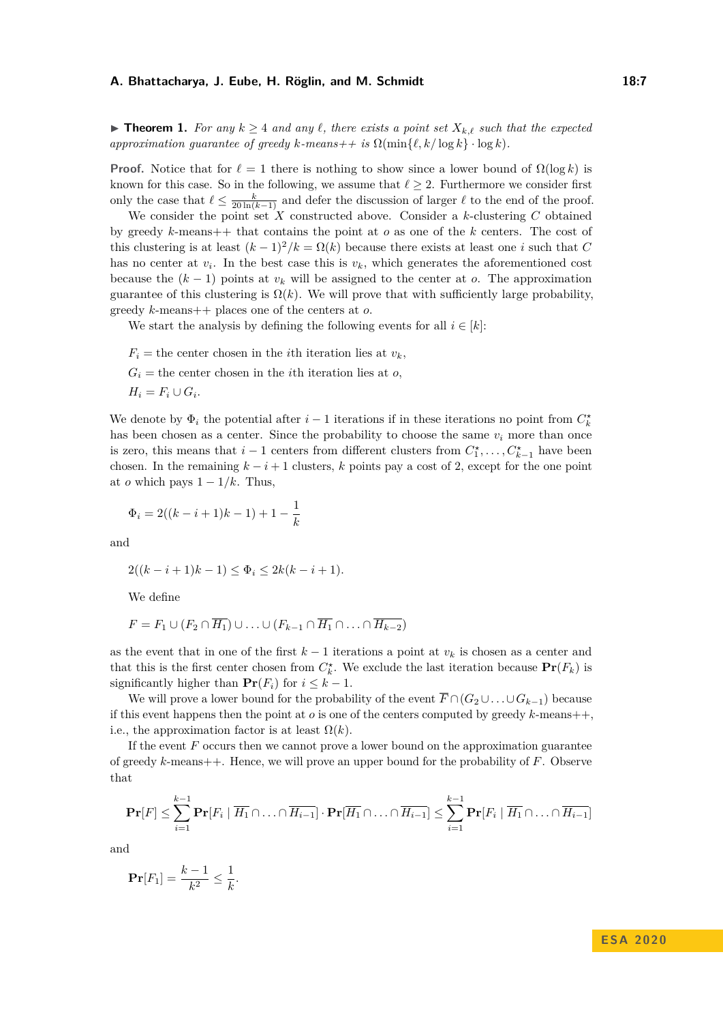▶ **Theorem 1.** *For any*  $k \geq 4$  *and any*  $\ell$ , *there exists a point set*  $X_{k,\ell}$  *such that the expected approximation guarantee of greedy*  $k$ *-means++ is*  $\Omega(\min\{\ell, k/\log k\} \cdot \log k)$ *.* 

**Proof.** Notice that for  $\ell = 1$  there is nothing to show since a lower bound of  $\Omega(\log k)$  is known for this case. So in the following, we assume that  $\ell \geq 2$ . Furthermore we consider first only the case that  $\ell \leq \frac{k}{20 \ln(k-1)}$  and defer the discussion of larger  $\ell$  to the end of the proof.

We consider the point set  $X$  constructed above. Consider a  $k$ -clustering  $C$  obtained by greedy *k*-means++ that contains the point at *o* as one of the *k* centers. The cost of this clustering is at least  $(k-1)^2/k = \Omega(k)$  because there exists at least one *i* such that *C* has no center at  $v_i$ . In the best case this is  $v_k$ , which generates the aforementioned cost because the  $(k-1)$  points at  $v_k$  will be assigned to the center at *o*. The approximation guarantee of this clustering is  $\Omega(k)$ . We will prove that with sufficiently large probability, greedy *k*-means++ places one of the centers at *o*.

We start the analysis by defining the following events for all  $i \in [k]$ :

 $F_i$  = the center chosen in the *i*th iteration lies at  $v_k$ .  $G_i$  = the center chosen in the *i*th iteration lies at *o*,  $H_i = F_i \cup G_i$ .

We denote by  $\Phi_i$  the potential after  $i-1$  iterations if in these iterations no point from  $C_k^*$ has been chosen as a center. Since the probability to choose the same  $v_i$  more than once is zero, this means that  $i-1$  centers from different clusters from  $C_1^*, \ldots, C_{k-1}^*$  have been chosen. In the remaining  $k - i + 1$  clusters, k points pay a cost of 2, except for the one point at *o* which pays  $1 - 1/k$ . Thus,

$$
\Phi_i = 2((k-i+1)k-1) + 1 - \frac{1}{k}
$$

and

$$
2((k-i+1)k-1) \le \Phi_i \le 2k(k-i+1).
$$

We define

$$
F = F_1 \cup (F_2 \cap \overline{H_1}) \cup \ldots \cup (F_{k-1} \cap \overline{H_1} \cap \ldots \cap \overline{H_{k-2}})
$$

as the event that in one of the first *k* − 1 iterations a point at *v<sup>k</sup>* is chosen as a center and that this is the first center chosen from  $C_k^*$ . We exclude the last iteration because  $Pr(F_k)$  is significantly higher than  $\mathbf{Pr}(F_i)$  for  $i \leq k - 1$ .

We will prove a lower bound for the probability of the event  $\overline{F} \cap (G_2 \cup \ldots \cup G_{k-1})$  because if this event happens then the point at  $o$  is one of the centers computed by greedy  $k$ -means++. i.e., the approximation factor is at least  $\Omega(k)$ .

If the event *F* occurs then we cannot prove a lower bound on the approximation guarantee of greedy *k*-means++. Hence, we will prove an upper bound for the probability of *F*. Observe that

$$
\mathbf{Pr}[F] \leq \sum_{i=1}^{k-1} \mathbf{Pr}[F_i \mid \overline{H_1} \cap \ldots \cap \overline{H_{i-1}}] \cdot \mathbf{Pr}[\overline{H_1} \cap \ldots \cap \overline{H_{i-1}}] \leq \sum_{i=1}^{k-1} \mathbf{Pr}[F_i \mid \overline{H_1} \cap \ldots \cap \overline{H_{i-1}}]
$$

and

$$
\mathbf{Pr}[F_1] = \frac{k-1}{k^2} \le \frac{1}{k}.
$$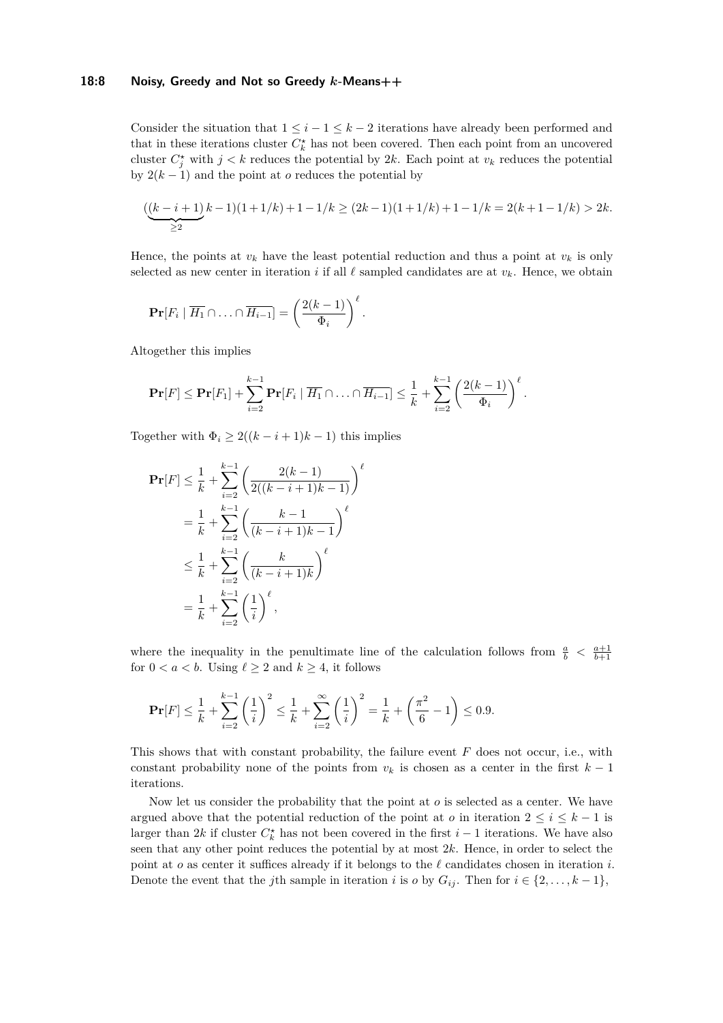# **18:8 Noisy, Greedy and Not so Greedy** *k***-Means++**

Consider the situation that  $1 \leq i - 1 \leq k - 2$  iterations have already been performed and that in these iterations cluster  $C_k^*$  has not been covered. Then each point from an uncovered cluster  $C_j^*$  with  $j < k$  reduces the potential by 2*k*. Each point at  $v_k$  reduces the potential by  $2(k-1)$  and the point at *o* reduces the potential by

$$
\underbrace{((k-i+1)}_{\geq 2}k-1)(1+1/k)+1-1/k \geq (2k-1)(1+1/k)+1-1/k = 2(k+1-1/k) > 2k.
$$

Hence, the points at  $v_k$  have the least potential reduction and thus a point at  $v_k$  is only selected as new center in iteration *i* if all  $\ell$  sampled candidates are at  $v_k$ . Hence, we obtain

*.*

$$
\mathbf{Pr}[F_i \mid \overline{H_1} \cap \ldots \cap \overline{H_{i-1}}] = \left(\frac{2(k-1)}{\Phi_i}\right)^{\ell}
$$

Altogether this implies

$$
\mathbf{Pr}[F] \leq \mathbf{Pr}[F_1] + \sum_{i=2}^{k-1} \mathbf{Pr}[F_i \mid \overline{H_1} \cap \ldots \cap \overline{H_{i-1}}] \leq \frac{1}{k} + \sum_{i=2}^{k-1} \left(\frac{2(k-1)}{\Phi_i}\right)^{\ell}.
$$

Together with  $\Phi_i \geq 2((k-i+1)k-1)$  this implies

$$
\begin{split} \mathbf{Pr}[F] &\leq \frac{1}{k} + \sum_{i=2}^{k-1} \left( \frac{2(k-1)}{2((k-i+1)k-1)} \right)^{\ell} \\ &= \frac{1}{k} + \sum_{i=2}^{k-1} \left( \frac{k-1}{(k-i+1)k-1} \right)^{\ell} \\ &\leq \frac{1}{k} + \sum_{i=2}^{k-1} \left( \frac{k}{(k-i+1)k} \right)^{\ell} \\ &= \frac{1}{k} + \sum_{i=2}^{k-1} \left( \frac{1}{i} \right)^{\ell}, \end{split}
$$

where the inequality in the penultimate line of the calculation follows from  $\frac{a}{b} < \frac{a+1}{b+1}$ for  $0 < a < b$ . Using  $\ell \geq 2$  and  $k \geq 4$ , it follows

$$
\mathbf{Pr}[F] \le \frac{1}{k} + \sum_{i=2}^{k-1} \left(\frac{1}{i}\right)^2 \le \frac{1}{k} + \sum_{i=2}^{\infty} \left(\frac{1}{i}\right)^2 = \frac{1}{k} + \left(\frac{\pi^2}{6} - 1\right) \le 0.9.
$$

This shows that with constant probability, the failure event *F* does not occur, i.e., with constant probability none of the points from  $v_k$  is chosen as a center in the first  $k-1$ iterations.

Now let us consider the probability that the point at *o* is selected as a center. We have argued above that the potential reduction of the point at *o* in iteration  $2 \leq i \leq k - 1$  is larger than 2*k* if cluster  $C_k^*$  has not been covered in the first *i* − 1 iterations. We have also seen that any other point reduces the potential by at most 2*k*. Hence, in order to select the point at *o* as center it suffices already if it belongs to the  $\ell$  candidates chosen in iteration *i*. Denote the event that the *j*th sample in iteration *i* is *o* by  $G_{ij}$ . Then for  $i \in \{2, ..., k-1\}$ ,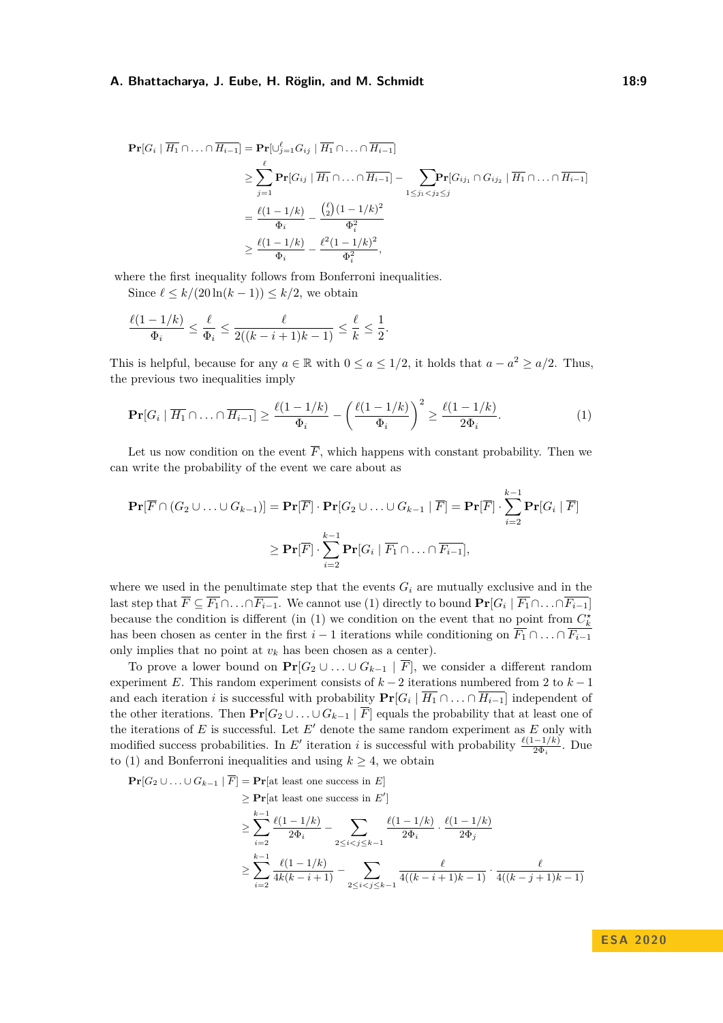$$
\begin{split} \mathbf{Pr}[G_i \mid \overline{H_1} \cap \ldots \cap \overline{H_{i-1}}] &= \mathbf{Pr}[\cup_{j=1}^{\ell} G_{ij} \mid \overline{H_1} \cap \ldots \cap \overline{H_{i-1}}] \\ &\geq \sum_{j=1}^{\ell} \mathbf{Pr}[G_{ij} \mid \overline{H_1} \cap \ldots \cap \overline{H_{i-1}}] - \sum_{1 \leq j_1 < j_2 \leq j} \mathbf{Pr}[G_{ij_1} \cap G_{ij_2} \mid \overline{H_1} \cap \ldots \cap \overline{H_{i-1}}] \\ &= \frac{\ell(1-1/k)}{\Phi_i} - \frac{\binom{\ell}{2}(1-1/k)^2}{\Phi_i^2} \\ &\geq \frac{\ell(1-1/k)}{\Phi_i} - \frac{\ell^2(1-1/k)^2}{\Phi_i^2}, \end{split}
$$

where the first inequality follows from Bonferroni inequalities.

Since  $\ell \leq k/(20 \ln(k-1)) \leq k/2$ , we obtain

$$
\frac{\ell(1 - 1/k)}{\Phi_i} \le \frac{\ell}{\Phi_i} \le \frac{\ell}{2((k - i + 1)k - 1)} \le \frac{\ell}{k} \le \frac{1}{2}.
$$

This is helpful, because for any  $a \in \mathbb{R}$  with  $0 \le a \le 1/2$ , it holds that  $a - a^2 \ge a/2$ . Thus, the previous two inequalities imply

<span id="page-8-0"></span>
$$
\mathbf{Pr}[G_i \mid \overline{H_1} \cap \ldots \cap \overline{H_{i-1}}] \ge \frac{\ell(1-1/k)}{\Phi_i} - \left(\frac{\ell(1-1/k)}{\Phi_i}\right)^2 \ge \frac{\ell(1-1/k)}{2\Phi_i}.
$$
 (1)

Let us now condition on the event  $\overline{F}$ , which happens with constant probability. Then we can write the probability of the event we care about as

$$
\mathbf{Pr}[\overline{F} \cap (G_2 \cup \ldots \cup G_{k-1})] = \mathbf{Pr}[\overline{F}] \cdot \mathbf{Pr}[G_2 \cup \ldots \cup G_{k-1} | \overline{F}] = \mathbf{Pr}[\overline{F}] \cdot \sum_{i=2}^{k-1} \mathbf{Pr}[G_i | \overline{F}]
$$

$$
\geq \mathbf{Pr}[\overline{F}] \cdot \sum_{i=2}^{k-1} \mathbf{Pr}[G_i | \overline{F_1} \cap \ldots \cap \overline{F_{i-1}}],
$$

where we used in the penultimate step that the events  $G_i$  are mutually exclusive and in the last step that  $\overline{F} \subseteq \overline{F_1} \cap \ldots \cap \overline{F_{i-1}}$ . We cannot use [\(1\)](#page-8-0) directly to bound  $\Pr[G_i \mid \overline{F_1} \cap \ldots \cap \overline{F_{i-1}}]$ because the condition is different (in [\(1\)](#page-8-0) we condition on the event that no point from  $C_k^*$ has been chosen as center in the first *i* − 1 iterations while conditioning on  $\overline{F_1} \cap \ldots \cap \overline{F_{i-1}}$ only implies that no point at  $v_k$  has been chosen as a center).

To prove a lower bound on  $Pr[G_2 \cup \ldots \cup G_{k-1} | \overline{F}]$ , we consider a different random experiment *E*. This random experiment consists of *k* − 2 iterations numbered from 2 to *k* − 1 and each iteration *i* is successful with probability  $Pr[G_i | \overline{H_1} \cap ... \cap \overline{H_{i-1}}]$  independent of the other iterations. Then  $Pr[G_2 \cup \ldots \cup G_{k-1} | \overline{F}]$  equals the probability that at least one of the iterations of  $E$  is successful. Let  $E'$  denote the same random experiment as  $E$  only with modified success probabilities. In *E'* iteration *i* is successful with probability  $\frac{\ell(1-1/k)}{2\Phi_i}$ . Due to [\(1\)](#page-8-0) and Bonferroni inequalities and using  $k \geq 4$ , we obtain

**Pr**[ $G_2$  ∪  $\ldots$  ∪  $G_{k-1}$  |  $\overline{F}$ ] = **Pr**[at least one success in *E*]

$$
\geq
$$
 **Pr**[at least one success in  $E'$ ]

$$
\geq \sum_{i=2}^{k-1} \frac{\ell(1-1/k)}{2\Phi_i} - \sum_{2 \leq i < j \leq k-1} \frac{\ell(1-1/k)}{2\Phi_i} \cdot \frac{\ell(1-1/k)}{2\Phi_j}
$$
\n
$$
\geq \sum_{i=2}^{k-1} \frac{\ell(1-1/k)}{4k(k-i+1)} - \sum_{2 \leq i < j \leq k-1} \frac{\ell}{4((k-i+1)k-1)} \cdot \frac{\ell}{4((k-j+1)k-1)}
$$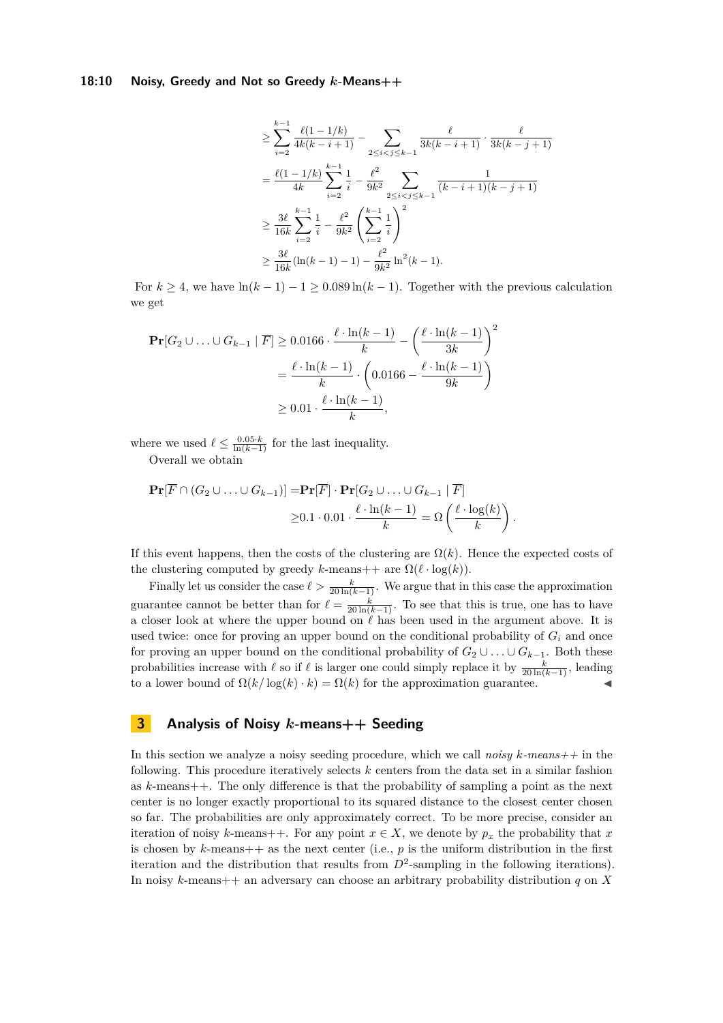# **18:10 Noisy, Greedy and Not so Greedy** *k***-Means++**

$$
\geq \sum_{i=2}^{k-1} \frac{\ell(1-1/k)}{4k(k-i+1)} - \sum_{2 \leq i < j \leq k-1} \frac{\ell}{3k(k-i+1)} \cdot \frac{\ell}{3k(k-j+1)}
$$
\n
$$
= \frac{\ell(1-1/k)}{4k} \sum_{i=2}^{k-1} \frac{1}{i} - \frac{\ell^2}{9k^2} \sum_{2 \leq i < j \leq k-1} \frac{1}{(k-i+1)(k-j+1)}
$$
\n
$$
\geq \frac{3\ell}{16k} \sum_{i=2}^{k-1} \frac{1}{i} - \frac{\ell^2}{9k^2} \left( \sum_{i=2}^{k-1} \frac{1}{i} \right)^2
$$
\n
$$
\geq \frac{3\ell}{16k} (\ln(k-1) - 1) - \frac{\ell^2}{9k^2} \ln^2(k-1).
$$

For  $k \geq 4$ , we have  $\ln(k-1) - 1 \geq 0.089 \ln(k-1)$ . Together with the previous calculation we get

$$
\begin{aligned} \mathbf{Pr}[G_2 \cup \ldots \cup G_{k-1} \mid \overline{F}] &\ge 0.0166 \cdot \frac{\ell \cdot \ln(k-1)}{k} - \left(\frac{\ell \cdot \ln(k-1)}{3k}\right)^2 \\ &= \frac{\ell \cdot \ln(k-1)}{k} \cdot \left(0.0166 - \frac{\ell \cdot \ln(k-1)}{9k}\right) \\ &\ge 0.01 \cdot \frac{\ell \cdot \ln(k-1)}{k}, \end{aligned}
$$

where we used  $\ell \leq \frac{0.05 \cdot k}{\ln(k-1)}$  for the last inequality.

Overall we obtain

$$
\mathbf{Pr}[\overline{F} \cap (G_2 \cup \ldots \cup G_{k-1})] = \mathbf{Pr}[\overline{F}] \cdot \mathbf{Pr}[G_2 \cup \ldots \cup G_{k-1} | \overline{F}]
$$
  
 
$$
\geq 0.1 \cdot 0.01 \cdot \frac{\ell \cdot \ln(k-1)}{k} = \Omega \left( \frac{\ell \cdot \log(k)}{k} \right).
$$

If this event happens, then the costs of the clustering are  $\Omega(k)$ . Hence the expected costs of the clustering computed by greedy *k*-means++ are  $\Omega(\ell \cdot \log(k))$ .

Finally let us consider the case  $\ell > \frac{k}{20 \ln(k-1)}$ . We argue that in this case the approximation guarantee cannot be better than for  $\ell = \frac{k}{20 \ln(k-1)}$ . To see that this is true, one has to have a closer look at where the upper bound on  $\ell$  has been used in the argument above. It is used twice: once for proving an upper bound on the conditional probability of  $G_i$  and once for proving an upper bound on the conditional probability of  $G_2 \cup \ldots \cup G_{k-1}$ . Both these probabilities increase with  $\ell$  so if  $\ell$  is larger one could simply replace it by  $\frac{k}{20 \ln(k-1)}$ , leading to a lower bound of  $\Omega(k/\log(k) \cdot k) = \Omega(k)$  for the approximation guarantee.

# **3 Analysis of Noisy** *k***-means++ Seeding**

In this section we analyze a noisy seeding procedure, which we call *noisy k-means++* in the following. This procedure iteratively selects *k* centers from the data set in a similar fashion as *k*-means++. The only difference is that the probability of sampling a point as the next center is no longer exactly proportional to its squared distance to the closest center chosen so far. The probabilities are only approximately correct. To be more precise, consider an iteration of noisy *k*-means++. For any point  $x \in X$ , we denote by  $p_x$  the probability that x is chosen by  $k$ -means +  $+$  as the next center (i.e.,  $p$  is the uniform distribution in the first iteration and the distribution that results from  $D^2$ -sampling in the following iterations). In noisy *k*-means++ an adversary can choose an arbitrary probability distribution *q* on *X*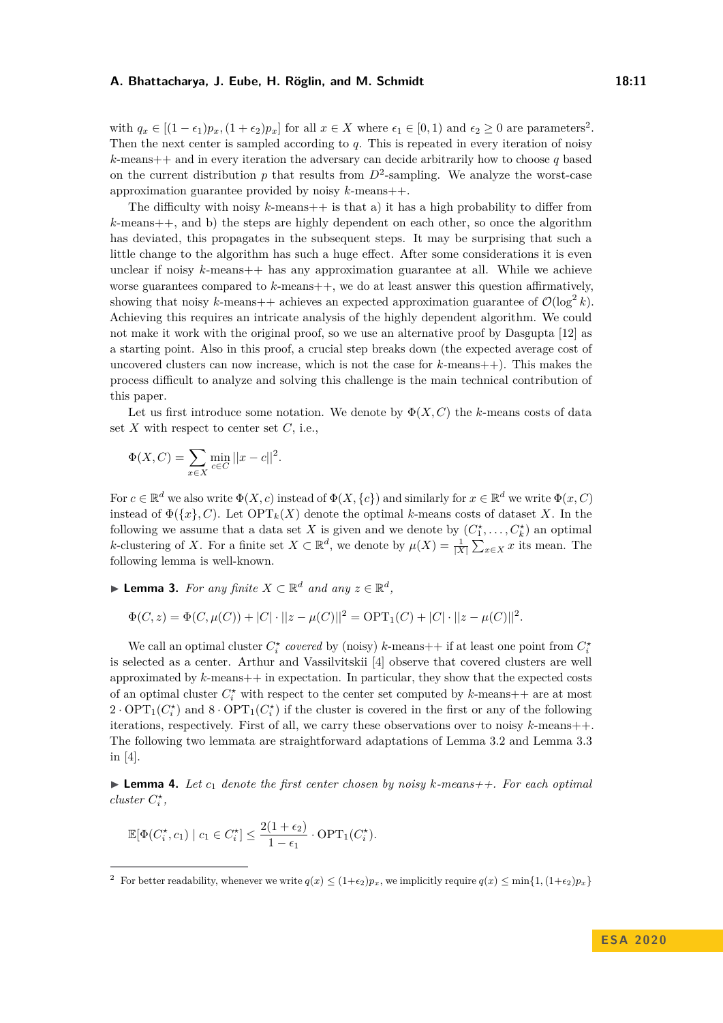with  $q_x \in [(1 - \epsilon_1)p_x, (1 + \epsilon_2)p_x]$  $q_x \in [(1 - \epsilon_1)p_x, (1 + \epsilon_2)p_x]$  $q_x \in [(1 - \epsilon_1)p_x, (1 + \epsilon_2)p_x]$  for all  $x \in X$  where  $\epsilon_1 \in [0, 1)$  and  $\epsilon_2 \ge 0$  are parameters<sup>2</sup>. Then the next center is sampled according to *q*. This is repeated in every iteration of noisy  $k$ -means  $++$  and in every iteration the adversary can decide arbitrarily how to choose *q* based on the current distribution  $p$  that results from  $D^2$ -sampling. We analyze the worst-case approximation guarantee provided by noisy *k*-means++.

The difficulty with noisy  $k$ -means  $+$  is that a) it has a high probability to differ from *k*-means++, and b) the steps are highly dependent on each other, so once the algorithm has deviated, this propagates in the subsequent steps. It may be surprising that such a little change to the algorithm has such a huge effect. After some considerations it is even unclear if noisy *k*-means++ has any approximation guarantee at all. While we achieve worse guarantees compared to *k*-means++, we do at least answer this question affirmatively, showing that noisy k-means++ achieves an expected approximation guarantee of  $\mathcal{O}(\log^2 k)$ . Achieving this requires an intricate analysis of the highly dependent algorithm. We could not make it work with the original proof, so we use an alternative proof by Dasgupta [\[12\]](#page-19-10) as a starting point. Also in this proof, a crucial step breaks down (the expected average cost of uncovered clusters can now increase, which is not the case for *k*-means++). This makes the process difficult to analyze and solving this challenge is the main technical contribution of this paper.

Let us first introduce some notation. We denote by  $\Phi(X, C)$  the *k*-means costs of data set *X* with respect to center set *C*, i.e.,

$$
\Phi(X, C) = \sum_{x \in X} \min_{c \in C} ||x - c||^2.
$$

For  $c \in \mathbb{R}^d$  we also write  $\Phi(X, c)$  instead of  $\Phi(X, \{c\})$  and similarly for  $x \in \mathbb{R}^d$  we write  $\Phi(x, C)$ instead of  $\Phi({x}, C)$ . Let  $\text{OPT}_k(X)$  denote the optimal *k*-means costs of dataset *X*. In the following we assume that a data set *X* is given and we denote by  $(C_1^*, \ldots, C_k^*)$  an optimal *k*-clustering of *X*. For a finite set  $X \subset \mathbb{R}^d$ , we denote by  $\mu(X) = \frac{1}{|X|} \sum_{x \in X} x$  its mean. The following lemma is well-known.

<span id="page-10-1"></span>▶ **Lemma 3.** *For any finite*  $X \subset \mathbb{R}^d$  *and any*  $z \in \mathbb{R}^d$ ,

$$
\Phi(C, z) = \Phi(C, \mu(C)) + |C| \cdot ||z - \mu(C)||^2 = \text{OPT}_1(C) + |C| \cdot ||z - \mu(C)||^2.
$$

We call an optimal cluster  $C_i^*$  covered by (noisy) *k*-means++ if at least one point from  $C_i^*$ is selected as a center. Arthur and Vassilvitskii [\[4\]](#page-19-0) observe that covered clusters are well approximated by *k*-means++ in expectation. In particular, they show that the expected costs of an optimal cluster  $C_i^*$  with respect to the center set computed by  $k$ -means++ are at most  $2 \cdot \text{OPT}_1(C_i^*)$  and  $8 \cdot \text{OPT}_1(C_i^*)$  if the cluster is covered in the first or any of the following iterations, respectively. First of all, we carry these observations over to noisy *k*-means++. The following two lemmata are straightforward adaptations of Lemma 3.2 and Lemma 3.3 in [\[4\]](#page-19-0).

<span id="page-10-2"></span>**Lemma 4.** Let  $c_1$  denote the first center chosen by noisy  $k$ -means  $++$ . For each optimal *cluster*  $C_i^*$ ,

$$
\mathbb{E}[\Phi(C_i^{\star}, c_1) | c_1 \in C_i^{\star}] \le \frac{2(1+\epsilon_2)}{1-\epsilon_1} \cdot \text{OPT}_1(C_i^{\star}).
$$

<span id="page-10-0"></span><sup>&</sup>lt;sup>2</sup> For better readability, whenever we write  $q(x) \leq (1+\epsilon_2)p_x$ , we implicitly require  $q(x) \leq \min\{1,(1+\epsilon_2)p_x\}$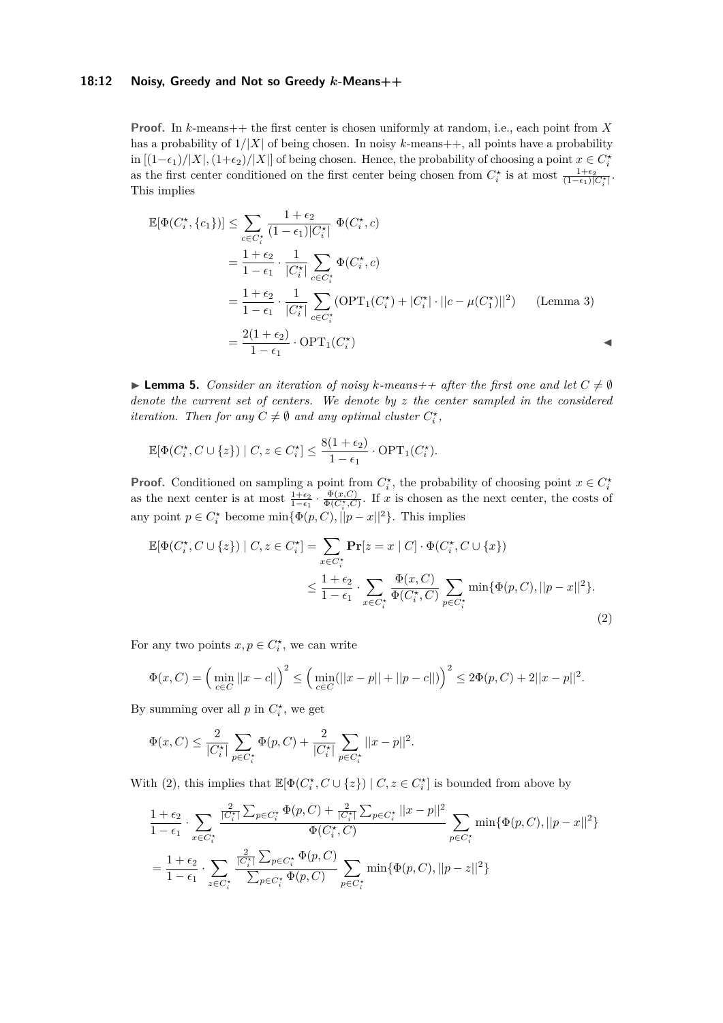# **18:12 Noisy, Greedy and Not so Greedy** *k***-Means++**

**Proof.** In *k*-means++ the first center is chosen uniformly at random, i.e., each point from *X* has a probability of  $1/|X|$  of being chosen. In noisy k-means  $++$ , all points have a probability  $\lim_{x \to a}$  [(1− $\epsilon_1$ )/|*X*|, (1+ $\epsilon_2$ )/|*X*|] of being chosen. Hence, the probability of choosing a point  $x \in C_i^*$ as the first center conditioned on the first center being chosen from  $C_i^*$  is at most  $\frac{1+\epsilon_2}{(1-\epsilon_1)|C_i^*|}$ . This implies

$$
\mathbb{E}[\Phi(C_i^{\star}, \{c_1\})] \leq \sum_{c \in C_i^{\star}} \frac{1 + \epsilon_2}{(1 - \epsilon_1)|C_i^{\star}|} \Phi(C_i^{\star}, c)
$$
\n
$$
= \frac{1 + \epsilon_2}{1 - \epsilon_1} \cdot \frac{1}{|C_i^{\star}|} \sum_{c \in C_i^{\star}} \Phi(C_i^{\star}, c)
$$
\n
$$
= \frac{1 + \epsilon_2}{1 - \epsilon_1} \cdot \frac{1}{|C_i^{\star}|} \sum_{c \in C_i^{\star}} (\text{OPT}_1(C_i^{\star}) + |C_i^{\star}| \cdot ||c - \mu(C_1^{\star})||^2) \qquad \text{(Lemma 3)}
$$
\n
$$
= \frac{2(1 + \epsilon_2)}{1 - \epsilon_1} \cdot \text{OPT}_1(C_i^{\star})
$$

<span id="page-11-1"></span>**Lemma 5.** Consider an iteration of noisy k-means + + after the first one and let  $C \neq \emptyset$ *denote the current set of centers. We denote by z the center sampled in the considered iteration. Then for any*  $C \neq \emptyset$  *and any optimal cluster*  $C_i^*$ ,

$$
\mathbb{E}[\Phi(C_i^{\star}, C \cup \{z\}) \mid C, z \in C_i^{\star}] \le \frac{8(1 + \epsilon_2)}{1 - \epsilon_1} \cdot \text{OPT}_1(C_i^{\star}).
$$

**Proof.** Conditioned on sampling a point from  $C_i^*$ , the probability of choosing point  $x \in C_i^*$ as the next center is at most  $\frac{1+\epsilon_2}{1-\epsilon_1} \cdot \frac{\Phi(x,C)}{\Phi(C_i^*,C)}$ . If *x* is chosen as the next center, the costs of any point  $p \in C_i^*$  become  $\min{\{\Phi(p, C), ||p - x||^2\}}$ . This implies

$$
\mathbb{E}[\Phi(C_i^{\star}, C \cup \{z\}) \mid C, z \in C_i^{\star}] = \sum_{x \in C_i^{\star}} \mathbf{Pr}[z = x \mid C] \cdot \Phi(C_i^{\star}, C \cup \{x\})
$$
  

$$
\leq \frac{1 + \epsilon_2}{1 - \epsilon_1} \cdot \sum_{x \in C_i^{\star}} \frac{\Phi(x, C)}{\Phi(C_i^{\star}, C)} \sum_{p \in C_i^{\star}} \min{\{\Phi(p, C), ||p - x||^2\}}.
$$
\n(2)

For any two points  $x, p \in C_i^*$ , we can write

<span id="page-11-0"></span>
$$
\Phi(x, C) = \left(\min_{c \in C} ||x - c||\right)^2 \le \left(\min_{c \in C} (||x - p|| + ||p - c||)\right)^2 \le 2\Phi(p, C) + 2||x - p||^2.
$$

By summing over all  $p$  in  $C_i^*$ , we get

$$
\Phi(x, C) \le \frac{2}{|C_i^\star|} \sum_{p \in C_i^\star} \Phi(p, C) + \frac{2}{|C_i^\star|} \sum_{p \in C_i^\star} ||x - p||^2.
$$

With [\(2\)](#page-11-0), this implies that  $\mathbb{E}[\Phi(C_i^*, C \cup \{z\}) \mid C, z \in C_i^*]$  is bounded from above by

$$
\begin{split} &\frac{1+\epsilon_{2}}{1-\epsilon_{1}}\cdot \sum_{x\in C_{i}^{\star}}\frac{\frac{2}{|C_{i}^{\star}|}\sum_{p\in C_{i}^{\star}}\Phi(p,C)+\frac{2}{|C_{i}^{\star}|}\sum_{p\in C_{i}^{\star}}||x-p||^{2}}{\Phi(C_{i}^{\star},C)}\sum_{p\in C_{i}^{\star}}\min\{\Phi(p,C),||p-x||^{2}\}\\ &=\frac{1+\epsilon_{2}}{1-\epsilon_{1}}\cdot \sum_{z\in C_{i}^{\star}}\frac{\frac{2}{|C_{i}^{\star}|}\sum_{p\in C_{i}^{\star}}\Phi(p,C)}{\sum_{p\in C_{i}^{\star}}\Phi(p,C)}\sum_{p\in C_{i}^{\star}}\min\{\Phi(p,C),||p-z||^{2}\}\end{split}
$$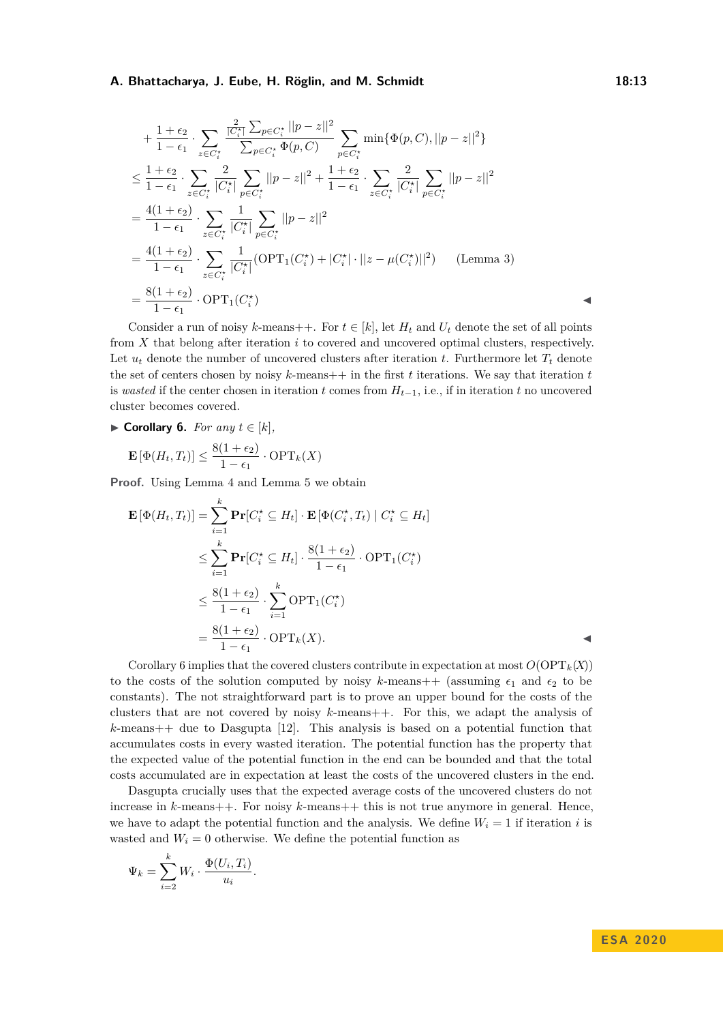$$
+\frac{1+\epsilon_2}{1-\epsilon_1} \cdot \sum_{z \in C_i^*} \frac{\frac{2}{|C_i^*|} \sum_{p \in C_i^*} (|p-z||^2)}{\sum_{p \in C_i^*} \Phi(p,C)} \sum_{p \in C_i^*} \min{\{\Phi(p,C), ||p-z||^2\}}
$$
  
\n
$$
\leq \frac{1+\epsilon_2}{1-\epsilon_1} \cdot \sum_{z \in C_i^*} \frac{2}{|C_i^*|} \sum_{p \in C_i^*} ||p-z||^2 + \frac{1+\epsilon_2}{1-\epsilon_1} \cdot \sum_{z \in C_i^*} \frac{2}{|C_i^*|} \sum_{p \in C_i^*} ||p-z||^2
$$
  
\n
$$
=\frac{4(1+\epsilon_2)}{1-\epsilon_1} \cdot \sum_{z \in C_i^*} \frac{1}{|C_i^*|} \sum_{p \in C_i^*} ||p-z||^2
$$
  
\n
$$
=\frac{4(1+\epsilon_2)}{1-\epsilon_1} \cdot \sum_{z \in C_i^*} \frac{1}{|C_i^*|} (\text{OPT}_1(C_i^*) + |C_i^*| \cdot ||z - \mu(C_i^*)||^2) \quad \text{(Lemma 3)}
$$
  
\n
$$
=\frac{8(1+\epsilon_2)}{1-\epsilon_1} \cdot \text{OPT}_1(C_i^*)
$$

Consider a run of noisy *k*-means++. For  $t \in [k]$ , let  $H_t$  and  $U_t$  denote the set of all points from *X* that belong after iteration *i* to covered and uncovered optimal clusters, respectively. Let  $u_t$  denote the number of uncovered clusters after iteration *t*. Furthermore let  $T_t$  denote the set of centers chosen by noisy  $k$ -means++ in the first  $t$  iterations. We say that iteration  $t$ is *wasted* if the center chosen in iteration *t* comes from  $H_{t-1}$ , i.e., if in iteration *t* no uncovered cluster becomes covered.

<span id="page-12-0"></span>▶ **Corollary 6.** *For any*  $t \in [k]$ *,* 

$$
\mathbf{E}\left[\Phi(H_t, T_t)\right] \le \frac{8(1 + \epsilon_2)}{1 - \epsilon_1} \cdot \text{OPT}_k(X)
$$

**Proof.** Using Lemma [4](#page-10-2) and Lemma [5](#page-11-1) we obtain

$$
\mathbf{E}[\Phi(H_t, T_t)] = \sum_{i=1}^k \mathbf{Pr}[C_i^* \subseteq H_t] \cdot \mathbf{E}[\Phi(C_i^*, T_t) | C_i^* \subseteq H_t]
$$
  
\n
$$
\leq \sum_{i=1}^k \mathbf{Pr}[C_i^* \subseteq H_t] \cdot \frac{8(1 + \epsilon_2)}{1 - \epsilon_1} \cdot \text{OPT}_1(C_i^*)
$$
  
\n
$$
\leq \frac{8(1 + \epsilon_2)}{1 - \epsilon_1} \cdot \sum_{i=1}^k \text{OPT}_1(C_i^*)
$$
  
\n
$$
= \frac{8(1 + \epsilon_2)}{1 - \epsilon_1} \cdot \text{OPT}_k(X).
$$

Corollary [6](#page-12-0) implies that the covered clusters contribute in expectation at most  $O(\text{OPT}_k(X))$ to the costs of the solution computed by noisy k-means  $+$  (assuming  $\epsilon_1$  and  $\epsilon_2$  to be constants). The not straightforward part is to prove an upper bound for the costs of the clusters that are not covered by noisy *k*-means++. For this, we adapt the analysis of *k*-means++ due to Dasgupta [\[12\]](#page-19-10). This analysis is based on a potential function that accumulates costs in every wasted iteration. The potential function has the property that the expected value of the potential function in the end can be bounded and that the total costs accumulated are in expectation at least the costs of the uncovered clusters in the end.

Dasgupta crucially uses that the expected average costs of the uncovered clusters do not increase in *k*-means++. For noisy *k*-means++ this is not true anymore in general. Hence, we have to adapt the potential function and the analysis. We define  $W_i = 1$  if iteration *i* is wasted and  $W_i = 0$  otherwise. We define the potential function as

$$
\Psi_k = \sum_{i=2}^k W_i \cdot \frac{\Phi(U_i, T_i)}{u_i}.
$$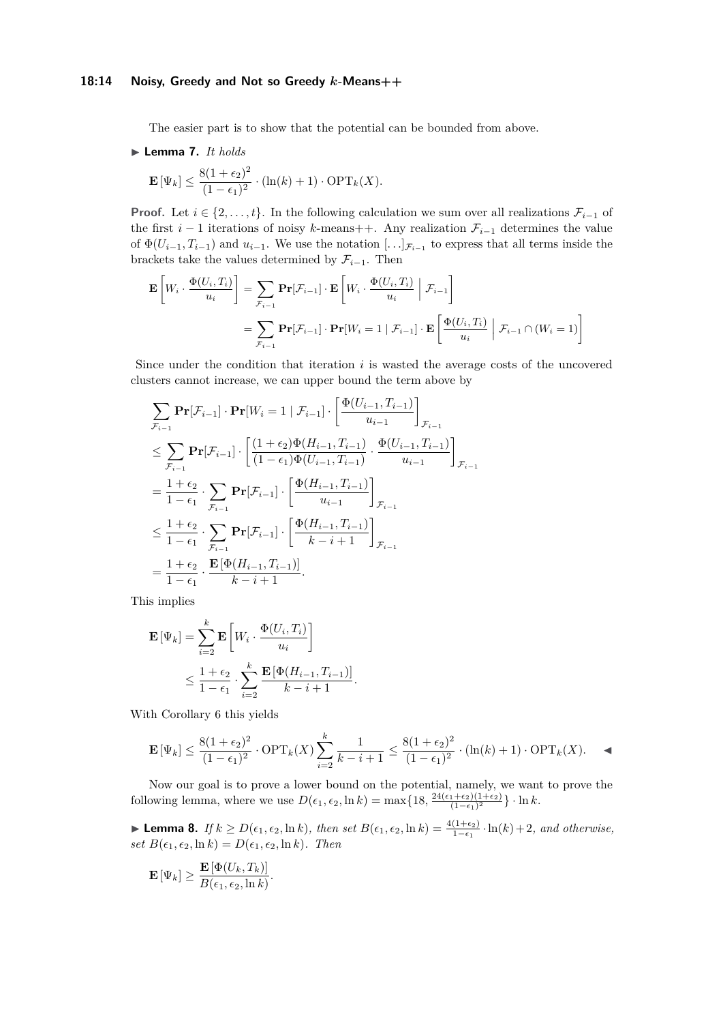## **18:14 Noisy, Greedy and Not so Greedy** *k***-Means++**

The easier part is to show that the potential can be bounded from above.

# <span id="page-13-1"></span>▶ Lemma 7. *It holds*

$$
\mathbf{E}\left[\Psi_k\right] \le \frac{8(1+\epsilon_2)^2}{(1-\epsilon_1)^2} \cdot (\ln(k)+1) \cdot \text{OPT}_k(X).
$$

**Proof.** Let  $i \in \{2, \ldots, t\}$ . In the following calculation we sum over all realizations  $\mathcal{F}_{i-1}$  of the first  $i-1$  iterations of noisy  $k$ -means++. Any realization  $\mathcal{F}_{i-1}$  determines the value of  $\Phi(U_{i-1}, T_{i-1})$  and  $u_{i-1}$ . We use the notation  $[\ldots]_{\mathcal{F}_{i-1}}$  to express that all terms inside the brackets take the values determined by  $\mathcal{F}_{i-1}$ . Then

$$
\mathbf{E}\left[W_i \cdot \frac{\Phi(U_i, T_i)}{u_i}\right] = \sum_{\mathcal{F}_{i-1}} \mathbf{Pr}[\mathcal{F}_{i-1}] \cdot \mathbf{E}\left[W_i \cdot \frac{\Phi(U_i, T_i)}{u_i} \middle| \mathcal{F}_{i-1}\right]
$$

$$
= \sum_{\mathcal{F}_{i-1}} \mathbf{Pr}[\mathcal{F}_{i-1}] \cdot \mathbf{Pr}[W_i = 1 \mid \mathcal{F}_{i-1}] \cdot \mathbf{E}\left[\frac{\Phi(U_i, T_i)}{u_i} \middle| \mathcal{F}_{i-1} \cap (W_i = 1)\right]
$$

Since under the condition that iteration *i* is wasted the average costs of the uncovered clusters cannot increase, we can upper bound the term above by

$$
\sum_{\mathcal{F}_{i-1}} \mathbf{Pr}[\mathcal{F}_{i-1}] \cdot \mathbf{Pr}[W_i = 1 | \mathcal{F}_{i-1}] \cdot \left[ \frac{\Phi(U_{i-1}, T_{i-1})}{u_{i-1}} \right]_{\mathcal{F}_{i-1}}
$$
\n
$$
\leq \sum_{\mathcal{F}_{i-1}} \mathbf{Pr}[\mathcal{F}_{i-1}] \cdot \left[ \frac{(1 + \epsilon_2) \Phi(H_{i-1}, T_{i-1})}{(1 - \epsilon_1) \Phi(U_{i-1}, T_{i-1})} \cdot \frac{\Phi(U_{i-1}, T_{i-1})}{u_{i-1}} \right]_{\mathcal{F}_{i-1}}
$$
\n
$$
= \frac{1 + \epsilon_2}{1 - \epsilon_1} \cdot \sum_{\mathcal{F}_{i-1}} \mathbf{Pr}[\mathcal{F}_{i-1}] \cdot \left[ \frac{\Phi(H_{i-1}, T_{i-1})}{u_{i-1}} \right]_{\mathcal{F}_{i-1}}
$$
\n
$$
\leq \frac{1 + \epsilon_2}{1 - \epsilon_1} \cdot \sum_{\mathcal{F}_{i-1}} \mathbf{Pr}[\mathcal{F}_{i-1}] \cdot \left[ \frac{\Phi(H_{i-1}, T_{i-1})}{k - i + 1} \right]_{\mathcal{F}_{i-1}}
$$
\n
$$
= \frac{1 + \epsilon_2}{1 - \epsilon_1} \cdot \frac{\mathbf{E}[\Phi(H_{i-1}, T_{i-1})]}{k - i + 1}.
$$

This implies

$$
\mathbf{E}[\Psi_k] = \sum_{i=2}^k \mathbf{E} \left[ W_i \cdot \frac{\Phi(U_i, T_i)}{u_i} \right]
$$
  

$$
\leq \frac{1 + \epsilon_2}{1 - \epsilon_1} \cdot \sum_{i=2}^k \frac{\mathbf{E}[\Phi(H_{i-1}, T_{i-1})]}{k - i + 1}.
$$

With Corollary [6](#page-12-0) this yields

$$
\mathbf{E}\left[\Psi_k\right] \le \frac{8(1+\epsilon_2)^2}{(1-\epsilon_1)^2} \cdot \text{OPT}_k(X) \sum_{i=2}^k \frac{1}{k-i+1} \le \frac{8(1+\epsilon_2)^2}{(1-\epsilon_1)^2} \cdot (\ln(k)+1) \cdot \text{OPT}_k(X). \quad \blacktriangleleft
$$

Now our goal is to prove a lower bound on the potential, namely, we want to prove the following lemma, where we use  $D(\epsilon_1, \epsilon_2, \ln k) = \max\{18, \frac{24(\epsilon_1+\epsilon_2)(1+\epsilon_2)}{(1-\epsilon_1)^2}$  $\frac{(1+\epsilon_2)(1+\epsilon_2)}{(1-\epsilon_1)^2}$  } · ln *k*.

<span id="page-13-0"></span>► **Lemma 8.** *If*  $k \geq D(\epsilon_1, \epsilon_2, \ln k)$ , then set  $B(\epsilon_1, \epsilon_2, \ln k) = \frac{4(1+\epsilon_2)}{1-\epsilon_1} \cdot \ln(k) + 2$ , and otherwise,  $set B(\epsilon_1, \epsilon_2, \ln k) = D(\epsilon_1, \epsilon_2, \ln k)$ *. Then* 

$$
\mathbf{E}\left[\Psi_k\right] \geq \frac{\mathbf{E}\left[\Phi(U_k,T_k)\right]}{B(\epsilon_1,\epsilon_2,\ln k)}.
$$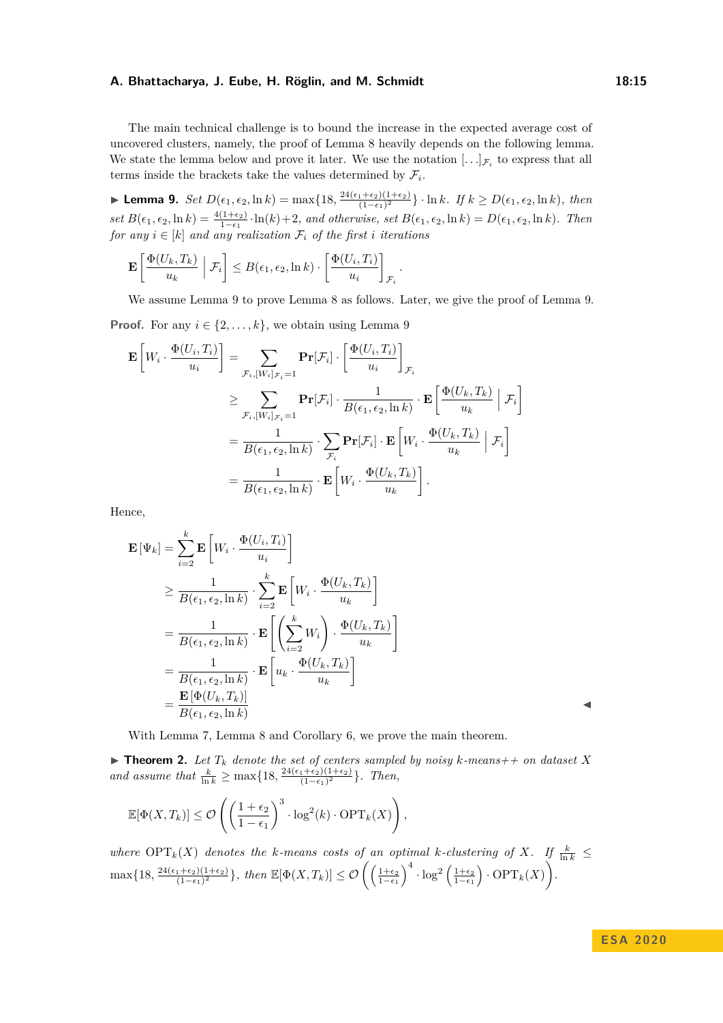The main technical challenge is to bound the increase in the expected average cost of uncovered clusters, namely, the proof of Lemma [8](#page-13-0) heavily depends on the following lemma. We state the lemma below and prove it later. We use the notation  $[\ldots]_{\mathcal{F}_i}$  to express that all terms inside the brackets take the values determined by  $\mathcal{F}_i$ .

<span id="page-14-0"></span>▶ **Lemma 9.** *Set*  $D(\epsilon_1, \epsilon_2, \ln k) = \max\{18, \frac{24(\epsilon_1+\epsilon_2)(1+\epsilon_2)}{(1-\epsilon_1)^2}$  $\frac{(1+\epsilon_2)(1+\epsilon_2)}{(1-\epsilon_1)^2}$  · ln *k.* If  $k \ge D(\epsilon_1, \epsilon_2, \ln k)$ , then  $set B(\epsilon_1, \epsilon_2, \ln k) = \frac{4(1+\epsilon_2)}{1-\epsilon_1} \cdot \ln(k) + 2$ , and otherwise, set  $B(\epsilon_1, \epsilon_2, \ln k) = D(\epsilon_1, \epsilon_2, \ln k)$ . Then  $for any i \in [k]$  and any realization  $\mathcal{F}_i$  of the first *i* iterations

$$
\mathbf{E}\left[\frac{\Phi(U_k,T_k)}{u_k}\middle|\mathcal{F}_i\right] \leq B(\epsilon_1,\epsilon_2,\ln k) \cdot \left[\frac{\Phi(U_i,T_i)}{u_i}\right]_{\mathcal{F}_i}
$$

We assume Lemma [9](#page-14-0) to prove Lemma [8](#page-13-0) as follows. Later, we give the proof of Lemma [9.](#page-14-0)

*.*

**Proof.** For any  $i \in \{2, ..., k\}$ , we obtain using Lemma [9](#page-14-0)

$$
\mathbf{E}\left[W_i \cdot \frac{\Phi(U_i, T_i)}{u_i}\right] = \sum_{\mathcal{F}_i, [W_i]_{\mathcal{F}_i} = 1} \mathbf{Pr}[\mathcal{F}_i] \cdot \left[\frac{\Phi(U_i, T_i)}{u_i}\right]_{\mathcal{F}_i}
$$
\n
$$
\geq \sum_{\mathcal{F}_i, [W_i]_{\mathcal{F}_i} = 1} \mathbf{Pr}[\mathcal{F}_i] \cdot \frac{1}{B(\epsilon_1, \epsilon_2, \ln k)} \cdot \mathbf{E}\left[\frac{\Phi(U_k, T_k)}{u_k} \middle| \mathcal{F}_i\right]
$$
\n
$$
= \frac{1}{B(\epsilon_1, \epsilon_2, \ln k)} \cdot \sum_{\mathcal{F}_i} \mathbf{Pr}[\mathcal{F}_i] \cdot \mathbf{E}\left[W_i \cdot \frac{\Phi(U_k, T_k)}{u_k} \middle| \mathcal{F}_i\right]
$$
\n
$$
= \frac{1}{B(\epsilon_1, \epsilon_2, \ln k)} \cdot \mathbf{E}\left[W_i \cdot \frac{\Phi(U_k, T_k)}{u_k}\right].
$$

Hence,

$$
\mathbf{E}[\Psi_k] = \sum_{i=2}^k \mathbf{E} \left[ W_i \cdot \frac{\Phi(U_i, T_i)}{u_i} \right]
$$
  
\n
$$
\geq \frac{1}{B(\epsilon_1, \epsilon_2, \ln k)} \cdot \sum_{i=2}^k \mathbf{E} \left[ W_i \cdot \frac{\Phi(U_k, T_k)}{u_k} \right]
$$
  
\n
$$
= \frac{1}{B(\epsilon_1, \epsilon_2, \ln k)} \cdot \mathbf{E} \left[ \left( \sum_{i=2}^k W_i \right) \cdot \frac{\Phi(U_k, T_k)}{u_k} \right]
$$
  
\n
$$
= \frac{1}{B(\epsilon_1, \epsilon_2, \ln k)} \cdot \mathbf{E} \left[ u_k \cdot \frac{\Phi(U_k, T_k)}{u_k} \right]
$$
  
\n
$$
= \frac{\mathbf{E}[\Phi(U_k, T_k)]}{B(\epsilon_1, \epsilon_2, \ln k)}
$$

With Lemma [7,](#page-13-1) Lemma [8](#page-13-0) and Corollary [6,](#page-12-0) we prove the main theorem.

 $\blacktriangleright$  **Theorem 2.** Let  $T_k$  denote the set of centers sampled by noisy k-means++ on dataset X *and assume that*  $\frac{k}{\ln k} \ge \max\{18, \frac{24(\epsilon_1 + \epsilon_2)(1+\epsilon_2)}{(1-\epsilon_1)^2}\}$  $\frac{(1+\epsilon_2)(1+\epsilon_2)}{(1-\epsilon_1)^2}$ . *Then,* 

$$
\mathbb{E}[\Phi(X, T_k)] \le \mathcal{O}\left(\left(\frac{1+\epsilon_2}{1-\epsilon_1}\right)^3 \cdot \log^2(k) \cdot \text{OPT}_k(X)\right),\,
$$

*where* OPT<sub>k</sub>(*X*) *denotes the k-means costs of an optimal k-clustering of X. If*  $\frac{k}{\ln k}$  $\max\{18,\frac{24(\epsilon_1+\epsilon_2)(1+\epsilon_2)}{(1-\epsilon_1)^2}\}$  $\frac{1+\epsilon_2(1+\epsilon_2)}{(1-\epsilon_1)^2}$ , then  $\mathbb{E}[\Phi(X,T_k)] \leq \mathcal{O}\left(\left(\frac{1+\epsilon_2}{1-\epsilon_1}\right)^4 \cdot \log^2\left(\frac{1+\epsilon_2}{1-\epsilon_1}\right) \cdot \text{OPT}_k(X)\right)$ .

**E S A 2 0 2 0**

 $\blacktriangleleft$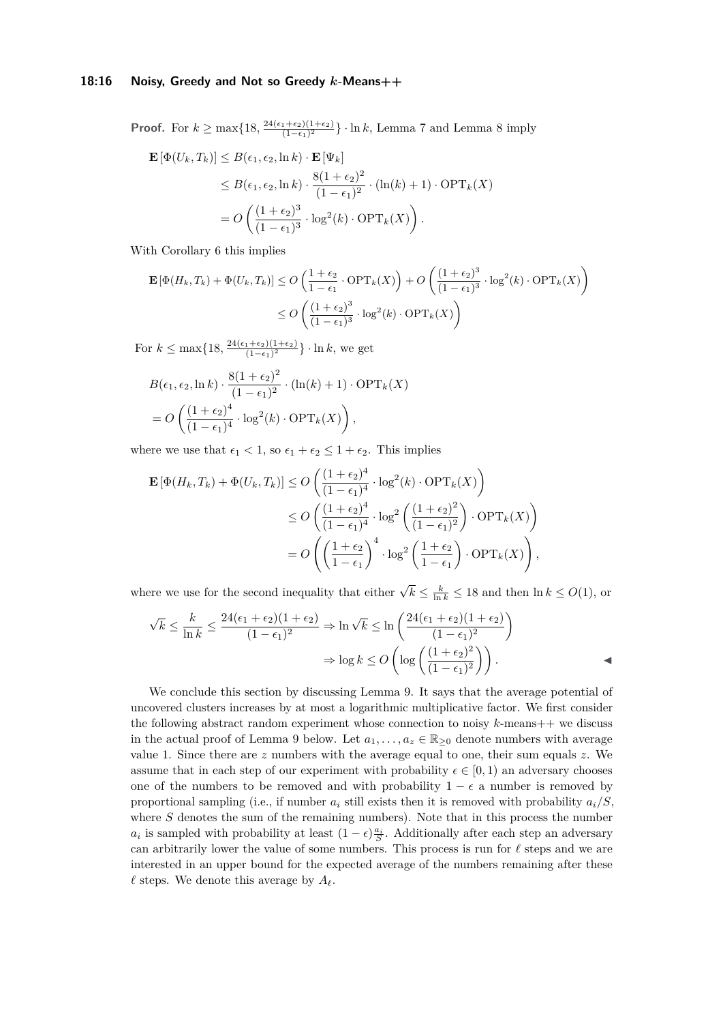## **18:16 Noisy, Greedy and Not so Greedy** *k***-Means++**

**Proof.** For  $k \ge \max\{18, \frac{24(\epsilon_1+\epsilon_2)(1+\epsilon_2)}{(1-\epsilon_1)^2}\}$  $\frac{(1+\epsilon_2)(1+\epsilon_2)}{(1-\epsilon_1)^2}$  · ln *k*, Lemma [7](#page-13-1) and Lemma [8](#page-13-0) imply

$$
\mathbf{E}\left[\Phi(U_k, T_k)\right] \le B(\epsilon_1, \epsilon_2, \ln k) \cdot \mathbf{E}\left[\Psi_k\right]
$$
  
\n
$$
\le B(\epsilon_1, \epsilon_2, \ln k) \cdot \frac{8(1 + \epsilon_2)^2}{(1 - \epsilon_1)^2} \cdot (\ln(k) + 1) \cdot \text{OPT}_k(X)
$$
  
\n
$$
= O\left(\frac{(1 + \epsilon_2)^3}{(1 - \epsilon_1)^3} \cdot \log^2(k) \cdot \text{OPT}_k(X)\right).
$$

With Corollary [6](#page-12-0) this implies

$$
\mathbf{E}\left[\Phi(H_k, T_k) + \Phi(U_k, T_k)\right] \le O\left(\frac{1+\epsilon_2}{1-\epsilon_1} \cdot \text{OPT}_k(X)\right) + O\left(\frac{(1+\epsilon_2)^3}{(1-\epsilon_1)^3} \cdot \log^2(k) \cdot \text{OPT}_k(X)\right)
$$

$$
\le O\left(\frac{(1+\epsilon_2)^3}{(1-\epsilon_1)^3} \cdot \log^2(k) \cdot \text{OPT}_k(X)\right)
$$

For  $k \leq \max\{18, \frac{24(\epsilon_1+\epsilon_2)(1+\epsilon_2)}{(1-\epsilon_1)^2}\}$  $\frac{(1+\epsilon_2)(1+\epsilon_2)}{(1-\epsilon_1)^2}$  · ln *k*, we get

$$
B(\epsilon_1, \epsilon_2, \ln k) \cdot \frac{8(1 + \epsilon_2)^2}{(1 - \epsilon_1)^2} \cdot (\ln(k) + 1) \cdot \text{OPT}_k(X)
$$
  
=  $O\left(\frac{(1 + \epsilon_2)^4}{(1 - \epsilon_1)^4} \cdot \log^2(k) \cdot \text{OPT}_k(X)\right)$ ,

where we use that  $\epsilon_1 < 1$ , so  $\epsilon_1 + \epsilon_2 \leq 1 + \epsilon_2$ . This implies

$$
\mathbf{E}\left[\Phi(H_k, T_k) + \Phi(U_k, T_k)\right] \le O\left(\frac{(1+\epsilon_2)^4}{(1-\epsilon_1)^4} \cdot \log^2(k) \cdot \text{OPT}_k(X)\right)
$$
  

$$
\le O\left(\frac{(1+\epsilon_2)^4}{(1-\epsilon_1)^4} \cdot \log^2\left(\frac{(1+\epsilon_2)^2}{(1-\epsilon_1)^2}\right) \cdot \text{OPT}_k(X)\right)
$$
  

$$
= O\left(\left(\frac{1+\epsilon_2}{1-\epsilon_1}\right)^4 \cdot \log^2\left(\frac{1+\epsilon_2}{1-\epsilon_1}\right) \cdot \text{OPT}_k(X)\right),
$$

where we use for the second inequality that either  $\sqrt{k} \leq \frac{k}{\ln k} \leq 18$  and then  $\ln k \leq O(1)$ , or

$$
\sqrt{k} \le \frac{k}{\ln k} \le \frac{24(\epsilon_1 + \epsilon_2)(1 + \epsilon_2)}{(1 - \epsilon_1)^2} \Rightarrow \ln \sqrt{k} \le \ln \left( \frac{24(\epsilon_1 + \epsilon_2)(1 + \epsilon_2)}{(1 - \epsilon_1)^2} \right)
$$

$$
\Rightarrow \log k \le O\left(\log \left( \frac{(1 + \epsilon_2)^2}{(1 - \epsilon_1)^2} \right) \right).
$$

<span id="page-15-0"></span>We conclude this section by discussing Lemma [9.](#page-14-0) It says that the average potential of uncovered clusters increases by at most a logarithmic multiplicative factor. We first consider the following abstract random experiment whose connection to noisy *k*-means++ we discuss in the actual proof of Lemma [9](#page-14-0) below. Let  $a_1, \ldots, a_z \in \mathbb{R}_{\geq 0}$  denote numbers with average value 1. Since there are *z* numbers with the average equal to one, their sum equals *z*. We assume that in each step of our experiment with probability  $\epsilon \in [0,1)$  an adversary chooses one of the numbers to be removed and with probability  $1 - \epsilon$  a number is removed by proportional sampling (i.e., if number  $a_i$  still exists then it is removed with probability  $a_i/S$ , where *S* denotes the sum of the remaining numbers). Note that in this process the number *a*<sub>*i*</sub> is sampled with probability at least  $(1 - \epsilon) \frac{a_i}{S}$ . Additionally after each step an adversary can arbitrarily lower the value of some numbers. This process is run for  $\ell$  steps and we are interested in an upper bound for the expected average of the numbers remaining after these  $\ell$  steps. We denote this average by  $A_{\ell}$ .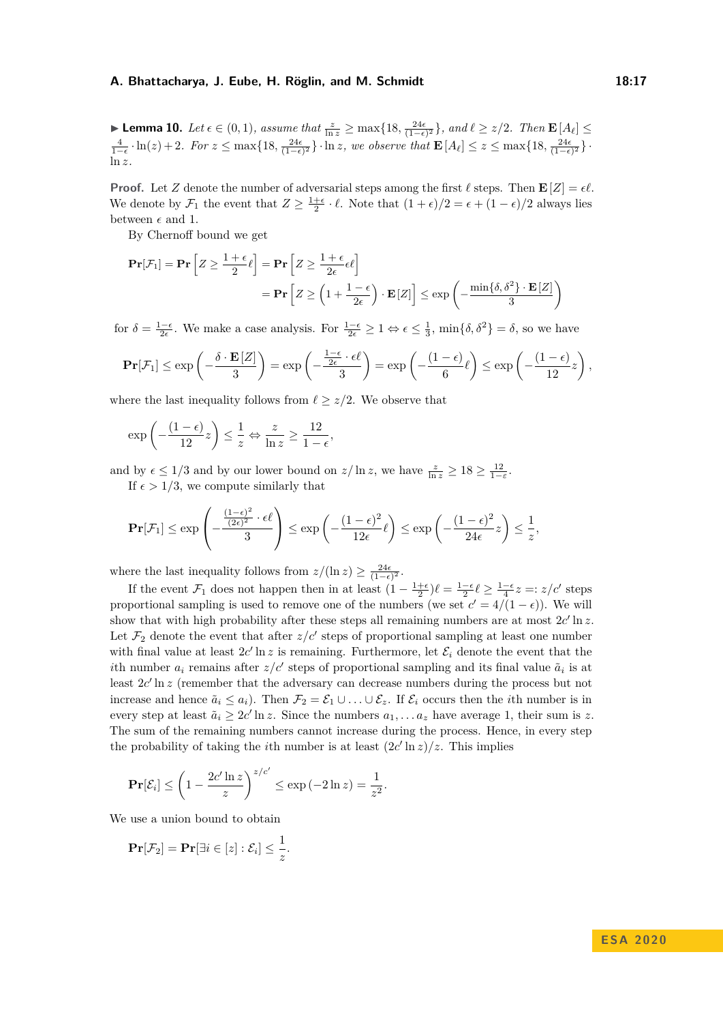**► Lemma 10.** Let  $\epsilon \in (0,1)$ , assume that  $\frac{z}{\ln z} \ge \max\{18, \frac{24\epsilon}{(1-\epsilon)^2}\}\$ , and  $\ell \ge z/2$ . Then  $\mathbf{E}[A_{\ell}] \le$  $\frac{4}{1-\epsilon} \cdot \ln(z) + 2$ . For  $z \le \max\{18, \frac{24\epsilon}{(1-\epsilon)^2}\}\cdot \ln z$ , we observe that  $\mathbf{E}[A_\ell] \le z \le \max\{18, \frac{24\epsilon}{(1-\epsilon)^2}\}\cdot$ ln *z.*

**Proof.** Let *Z* denote the number of adversarial steps among the first  $\ell$  steps. Then  $\mathbf{E}[Z] = \epsilon \ell$ . We denote by  $\mathcal{F}_1$  the event that  $Z \geq \frac{1+\epsilon}{2} \cdot \ell$ . Note that  $(1+\epsilon)/2 = \epsilon + (1-\epsilon)/2$  always lies between  $\epsilon$  and 1.

By Chernoff bound we get

$$
\mathbf{Pr}[\mathcal{F}_1] = \mathbf{Pr}\left[Z \ge \frac{1+\epsilon}{2}\ell\right] = \mathbf{Pr}\left[Z \ge \frac{1+\epsilon}{2\epsilon}\epsilon\ell\right]
$$

$$
= \mathbf{Pr}\left[Z \ge \left(1 + \frac{1-\epsilon}{2\epsilon}\right) \cdot \mathbf{E}[Z]\right] \le \exp\left(-\frac{\min\{\delta, \delta^2\} \cdot \mathbf{E}[Z]}{3}\right)
$$

for  $\delta = \frac{1-\epsilon}{2\epsilon}$ . We make a case analysis. For  $\frac{1-\epsilon}{2\epsilon} \geq 1 \Leftrightarrow \epsilon \leq \frac{1}{3}$ ,  $\min{\delta, \delta^2} = \delta$ , so we have

$$
\mathbf{Pr}[\mathcal{F}_1] \le \exp\left(-\frac{\delta \cdot \mathbf{E}[Z]}{3}\right) = \exp\left(-\frac{\frac{1-\epsilon}{2\epsilon} \cdot \epsilon \ell}{3}\right) = \exp\left(-\frac{(1-\epsilon)}{6}\ell\right) \le \exp\left(-\frac{(1-\epsilon)}{12}z\right),
$$

where the last inequality follows from  $\ell \geq z/2$ . We observe that

$$
\exp\left(-\frac{(1-\epsilon)}{12}z\right) \le \frac{1}{z} \Leftrightarrow \frac{z}{\ln z} \ge \frac{12}{1-\epsilon},
$$

and by  $\epsilon \leq 1/3$  and by our lower bound on  $z/\ln z$ , we have  $\frac{z}{\ln z} \geq 18 \geq \frac{12}{1-\epsilon}$ . If  $\epsilon > 1/3$ , we compute similarly that

$$
\mathbf{Pr}[\mathcal{F}_1] \le \exp\left(-\frac{\frac{(1-\epsilon)^2}{(2\epsilon)^2} \cdot \epsilon \ell}{3}\right) \le \exp\left(-\frac{(1-\epsilon)^2}{12\epsilon}\ell\right) \le \exp\left(-\frac{(1-\epsilon)^2}{24\epsilon}z\right) \le \frac{1}{z},
$$

where the last inequality follows from  $z/(\ln z) \geq \frac{24\epsilon}{(1-\epsilon)^2}$ .

If the event  $\mathcal{F}_1$  does not happen then in at least  $(1 - \frac{1+\epsilon}{2})\ell = \frac{1-\epsilon}{2}\ell \ge \frac{1-\epsilon}{4}z =: z/c'$  steps proportional sampling is used to remove one of the numbers (we set  $c' = 4/(1 - \epsilon)$ ). We will show that with high probability after these steps all remaining numbers are at most  $2c'$  ln  $z$ . Let  $\mathcal{F}_2$  denote the event that after  $z/c'$  steps of proportional sampling at least one number with final value at least  $2c'$  ln *z* is remaining. Furthermore, let  $\mathcal{E}_i$  denote the event that the *i*th number  $a_i$  remains after  $z/c'$  steps of proportional sampling and its final value  $\tilde{a}_i$  is at least  $2c'$  ln *z* (remember that the adversary can decrease numbers during the process but not increase and hence  $\tilde{a}_i \leq a_i$ ). Then  $\mathcal{F}_2 = \mathcal{E}_1 \cup \ldots \cup \mathcal{E}_z$ . If  $\mathcal{E}_i$  occurs then the *i*th number is in every step at least  $\tilde{a}_i \geq 2c' \ln z$ . Since the numbers  $a_1, \ldots a_z$  have average 1, their sum is z. The sum of the remaining numbers cannot increase during the process. Hence, in every step the probability of taking the *i*th number is at least  $(2c' \ln z)/z$ . This implies

$$
\mathbf{Pr}[\mathcal{E}_i] \le \left(1 - \frac{2c' \ln z}{z}\right)^{z/c'} \le \exp\left(-2\ln z\right) = \frac{1}{z^2}.
$$

We use a union bound to obtain

$$
\mathbf{Pr}[\mathcal{F}_2] = \mathbf{Pr}[\exists i \in [z] : \mathcal{E}_i] \leq \frac{1}{z}.
$$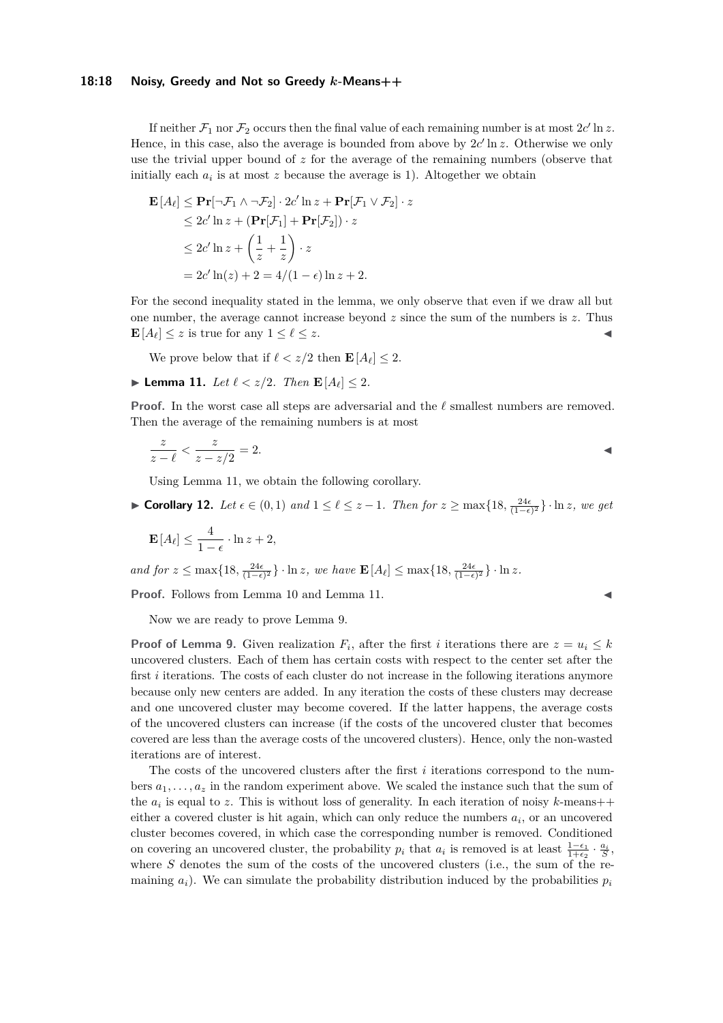# **18:18 Noisy, Greedy and Not so Greedy** *k***-Means++**

If neither  $\mathcal{F}_1$  nor  $\mathcal{F}_2$  occurs then the final value of each remaining number is at most  $2c'$  ln *z*. Hence, in this case, also the average is bounded from above by  $2c' \ln z$ . Otherwise we only use the trivial upper bound of *z* for the average of the remaining numbers (observe that initially each  $a_i$  is at most  $z$  because the average is 1). Altogether we obtain

$$
\mathbf{E}[A_{\ell}] \leq \mathbf{Pr}[\neg \mathcal{F}_1 \land \neg \mathcal{F}_2] \cdot 2c' \ln z + \mathbf{Pr}[\mathcal{F}_1 \lor \mathcal{F}_2] \cdot z
$$
  
\n
$$
\leq 2c' \ln z + (\mathbf{Pr}[\mathcal{F}_1] + \mathbf{Pr}[\mathcal{F}_2]) \cdot z
$$
  
\n
$$
\leq 2c' \ln z + \left(\frac{1}{z} + \frac{1}{z}\right) \cdot z
$$
  
\n
$$
= 2c' \ln(z) + 2 = 4/(1 - \epsilon) \ln z + 2.
$$

For the second inequality stated in the lemma, we only observe that even if we draw all but one number, the average cannot increase beyond *z* since the sum of the numbers is *z*. Thus  $\mathbf{E}[A_\ell] \leq z$  is true for any  $1 \leq \ell \leq z$ .

We prove below that if  $\ell < z/2$  then  $\mathbf{E}[A_{\ell}] < 2$ .

<span id="page-17-0"></span>▶ **Lemma 11.** *Let*  $\ell < z/2$ *. Then*  $\mathbf{E}[A_{\ell}] \leq 2$ *.* 

**Proof.** In the worst case all steps are adversarial and the  $\ell$  smallest numbers are removed. Then the average of the remaining numbers is at most

$$
\frac{z}{z-\ell} < \frac{z}{z-z/2} = 2.
$$

Using Lemma [11,](#page-17-0) we obtain the following corollary.

<span id="page-17-1"></span>► **Corollary 12.** Let  $\epsilon \in (0,1)$  and  $1 \leq \ell \leq z-1$ . Then for  $z \geq \max\{18, \frac{24\epsilon}{(1-\epsilon)^2}\}\cdot \ln z$ , we get

$$
\mathbf{E}\left[A_{\ell}\right] \le \frac{4}{1-\epsilon} \cdot \ln z + 2,
$$

 $\int \frac{24\epsilon}{(1-\epsilon)^2} \cdot \ln z$ , we have  $\mathbf{E}[A_\ell] \leq \max\{18, \frac{24\epsilon}{(1-\epsilon)^2}\} \cdot \ln z$ .

**Proof.** Follows from Lemma [10](#page-15-0) and Lemma [11.](#page-17-0)

Now we are ready to prove Lemma [9.](#page-14-0)

**Proof of Lemma [9.](#page-14-0)** Given realization  $F_i$ , after the first *i* iterations there are  $z = u_i \leq k$ uncovered clusters. Each of them has certain costs with respect to the center set after the first *i* iterations. The costs of each cluster do not increase in the following iterations anymore because only new centers are added. In any iteration the costs of these clusters may decrease and one uncovered cluster may become covered. If the latter happens, the average costs of the uncovered clusters can increase (if the costs of the uncovered cluster that becomes covered are less than the average costs of the uncovered clusters). Hence, only the non-wasted iterations are of interest.

The costs of the uncovered clusters after the first *i* iterations correspond to the numbers  $a_1, \ldots, a_z$  in the random experiment above. We scaled the instance such that the sum of the  $a_i$  is equal to z. This is without loss of generality. In each iteration of noisy  $k$ -means++ either a covered cluster is hit again, which can only reduce the numbers  $a_i$ , or an uncovered cluster becomes covered, in which case the corresponding number is removed. Conditioned on covering an uncovered cluster, the probability  $p_i$  that  $a_i$  is removed is at least  $\frac{1-\epsilon_1}{1+\epsilon_2} \cdot \frac{a_i}{S}$ , where *S* denotes the sum of the costs of the uncovered clusters (i.e., the sum of the remaining  $a_i$ ). We can simulate the probability distribution induced by the probabilities  $p_i$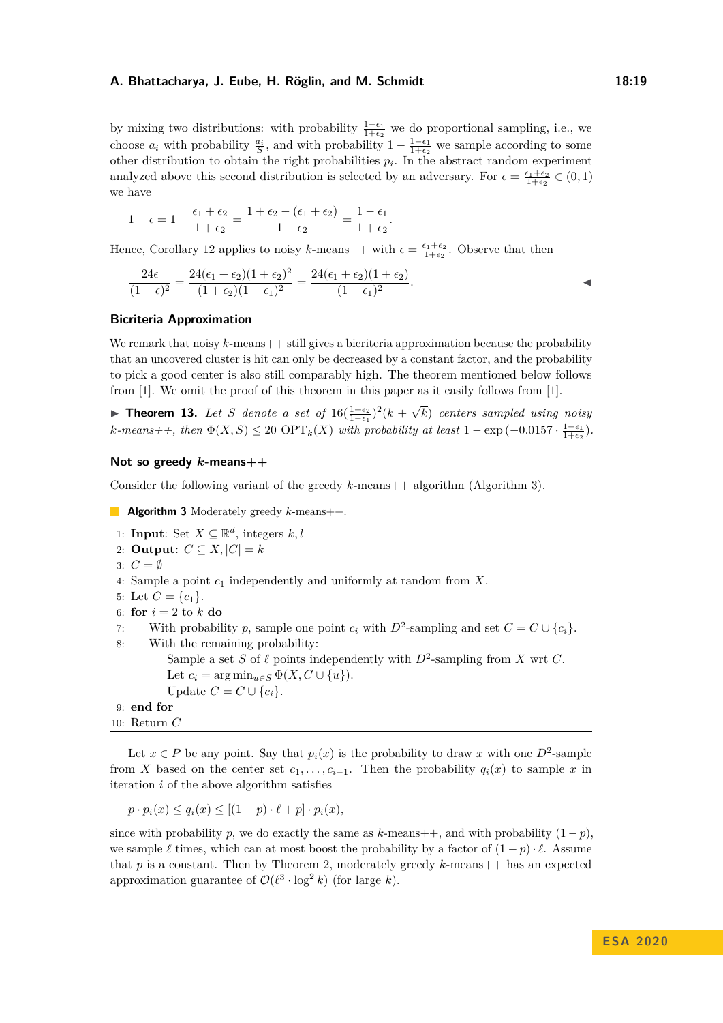by mixing two distributions: with probability  $\frac{1-\epsilon_1}{1+\epsilon_2}$  we do proportional sampling, i.e., we choose  $a_i$  with probability  $\frac{a_i}{S}$ , and with probability  $1 - \frac{1-\epsilon_1}{1+\epsilon_2}$  we sample according to some other distribution to obtain the right probabilities  $p_i$ . In the abstract random experiment analyzed above this second distribution is selected by an adversary. For  $\epsilon = \frac{\epsilon_1 + \epsilon_2}{1 + \epsilon_2} \in (0, 1)$ we have

$$
1 - \epsilon = 1 - \frac{\epsilon_1 + \epsilon_2}{1 + \epsilon_2} = \frac{1 + \epsilon_2 - (\epsilon_1 + \epsilon_2)}{1 + \epsilon_2} = \frac{1 - \epsilon_1}{1 + \epsilon_2}
$$

Hence, Corollary [12](#page-17-1) applies to noisy k-means +  $\psi$  with  $\epsilon = \frac{\epsilon_1 + \epsilon_2}{1 + \epsilon_2}$ . Observe that then

$$
\frac{24\epsilon}{(1-\epsilon)^2} = \frac{24(\epsilon_1+\epsilon_2)(1+\epsilon_2)^2}{(1+\epsilon_2)(1-\epsilon_1)^2} = \frac{24(\epsilon_1+\epsilon_2)(1+\epsilon_2)}{(1-\epsilon_1)^2}.
$$

*.*

# **Bicriteria Approximation**

We remark that noisy  $k$ -means  $+$  still gives a bicriteria approximation because the probability that an uncovered cluster is hit can only be decreased by a constant factor, and the probability to pick a good center is also still comparably high. The theorem mentioned below follows from [\[1\]](#page-19-8). We omit the proof of this theorem in this paper as it easily follows from [\[1\]](#page-19-8).

▶ **Theorem 13.** Let *S* denote a set of  $16(\frac{1+\epsilon_2}{1-\epsilon_1})^2(k +$ √ *k*) *centers sampled using noisy*  $k$ *-means++, then*  $\Phi(X, S) \leq 20 \text{ OPT}_k(X)$  *with probability at least*  $1 - \exp(-0.0157 \cdot \frac{1 - \epsilon_1}{1 + \epsilon_2})$ *.* 

## **Not so greedy** *k***-means++**

Consider the following variant of the greedy *k*-means + algorithm (Algorithm [3\)](#page-18-0).

```
Algorithm 3 Moderately greedy k-means++.
 1: Input: Set X \subseteq \mathbb{R}^d, integers k, l2: Output: C \subseteq X, |C| = k3: C = \emptyset4: Sample a point c1 independently and uniformly at random from X.
 5: Let C = \{c_1\}.6: for i = 2 to k do
 7: With probability p, sample one point c_i with D^2-sampling and set C = C \cup \{c_i\}.
 8: With the remaining probability:
           Sample a set S of \ell points independently with D^2-sampling from X wrt C.
           Let c_i = \arg \min_{u \in S} \Phi(X, C \cup \{u\}).Update C = C \cup \{c_i\}.9: end for
10: Return C
```
Let  $x \in P$  be any point. Say that  $p_i(x)$  is the probability to draw x with one  $D^2$ -sample from *X* based on the center set  $c_1, \ldots, c_{i-1}$ . Then the probability  $q_i(x)$  to sample *x* in iteration *i* of the above algorithm satisfies

$$
p \cdot p_i(x) \le q_i(x) \le [(1-p) \cdot \ell + p] \cdot p_i(x),
$$

since with probability *p*, we do exactly the same as *k*-means++, and with probability  $(1 - p)$ , we sample  $\ell$  times, which can at most boost the probability by a factor of  $(1 - p) \cdot \ell$ . Assume that *p* is a constant. Then by Theorem [2,](#page-3-1) moderately greedy *k*-means++ has an expected approximation guarantee of  $\mathcal{O}(\ell^3 \cdot \log^2 k)$  (for large *k*).

**E S A 2 0 2 0**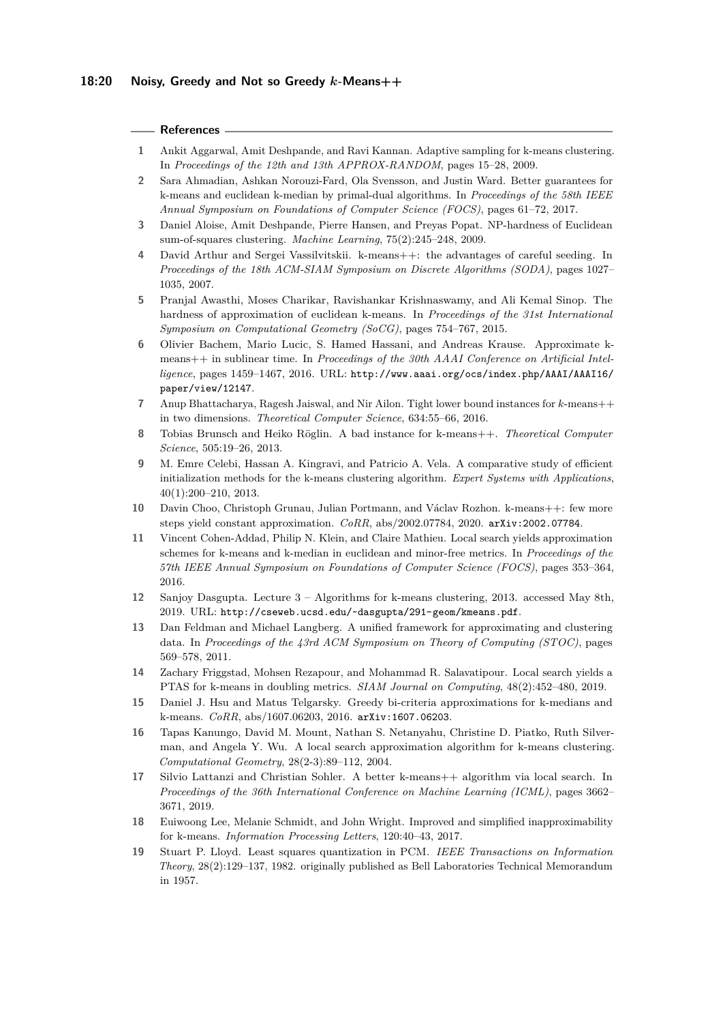# **References**

- <span id="page-19-8"></span>**1** Ankit Aggarwal, Amit Deshpande, and Ravi Kannan. Adaptive sampling for k-means clustering. In *Proceedings of the 12th and 13th APPROX-RANDOM*, pages 15–28, 2009.
- <span id="page-19-5"></span>**2** Sara Ahmadian, Ashkan Norouzi-Fard, Ola Svensson, and Justin Ward. Better guarantees for k-means and euclidean k-median by primal-dual algorithms. In *Proceedings of the 58th IEEE Annual Symposium on Foundations of Computer Science (FOCS)*, pages 61–72, 2017.
- <span id="page-19-2"></span>**3** Daniel Aloise, Amit Deshpande, Pierre Hansen, and Preyas Popat. NP-hardness of Euclidean sum-of-squares clustering. *Machine Learning*, 75(2):245–248, 2009.
- <span id="page-19-0"></span>David Arthur and Sergei Vassilvitskii. k-means++: the advantages of careful seeding. In *Proceedings of the 18th ACM-SIAM Symposium on Discrete Algorithms (SODA)*, pages 1027– 1035, 2007.
- <span id="page-19-3"></span>**5** Pranjal Awasthi, Moses Charikar, Ravishankar Krishnaswamy, and Ali Kemal Sinop. The hardness of approximation of euclidean k-means. In *Proceedings of the 31st International Symposium on Computational Geometry (SoCG)*, pages 754–767, 2015.
- <span id="page-19-11"></span>**6** Olivier Bachem, Mario Lucic, S. Hamed Hassani, and Andreas Krause. Approximate kmeans++ in sublinear time. In *Proceedings of the 30th AAAI Conference on Artificial Intelligence*, pages 1459–1467, 2016. URL: [http://www.aaai.org/ocs/index.php/AAAI/AAAI16/](http://www.aaai.org/ocs/index.php/AAAI/AAAI16/paper/view/12147) [paper/view/12147](http://www.aaai.org/ocs/index.php/AAAI/AAAI16/paper/view/12147).
- <span id="page-19-7"></span>**7** Anup Bhattacharya, Ragesh Jaiswal, and Nir Ailon. Tight lower bound instances for *k*-means++ in two dimensions. *Theoretical Computer Science*, 634:55–66, 2016.
- <span id="page-19-6"></span>**8** Tobias Brunsch and Heiko Röglin. A bad instance for k-means++. *Theoretical Computer Science*, 505:19–26, 2013.
- <span id="page-19-9"></span>**9** M. Emre Celebi, Hassan A. Kingravi, and Patricio A. Vela. A comparative study of efficient initialization methods for the k-means clustering algorithm. *Expert Systems with Applications*, 40(1):200–210, 2013.
- <span id="page-19-14"></span>**10** Davin Choo, Christoph Grunau, Julian Portmann, and Václav Rozhon. k-means++: few more steps yield constant approximation. *CoRR*, abs/2002.07784, 2020. [arXiv:2002.07784](http://arxiv.org/abs/2002.07784).
- <span id="page-19-16"></span>**11** Vincent Cohen-Addad, Philip N. Klein, and Claire Mathieu. Local search yields approximation schemes for k-means and k-median in euclidean and minor-free metrics. In *Proceedings of the 57th IEEE Annual Symposium on Foundations of Computer Science (FOCS)*, pages 353–364, 2016.
- <span id="page-19-10"></span>**12** Sanjoy Dasgupta. Lecture 3 – Algorithms for k-means clustering, 2013. accessed May 8th, 2019. URL: <http://cseweb.ucsd.edu/~dasgupta/291-geom/kmeans.pdf>.
- <span id="page-19-17"></span>**13** Dan Feldman and Michael Langberg. A unified framework for approximating and clustering data. In *Proceedings of the 43rd ACM Symposium on Theory of Computing (STOC)*, pages 569–578, 2011.
- <span id="page-19-18"></span>**14** Zachary Friggstad, Mohsen Rezapour, and Mohammad R. Salavatipour. Local search yields a PTAS for k-means in doubling metrics. *SIAM Journal on Computing*, 48(2):452–480, 2019.
- <span id="page-19-15"></span>**15** Daniel J. Hsu and Matus Telgarsky. Greedy bi-criteria approximations for k-medians and k-means. *CoRR*, abs/1607.06203, 2016. [arXiv:1607.06203](http://arxiv.org/abs/1607.06203).
- <span id="page-19-13"></span>**16** Tapas Kanungo, David M. Mount, Nathan S. Netanyahu, Christine D. Piatko, Ruth Silverman, and Angela Y. Wu. A local search approximation algorithm for k-means clustering. *Computational Geometry*, 28(2-3):89–112, 2004.
- <span id="page-19-12"></span>**17** Silvio Lattanzi and Christian Sohler. A better k-means++ algorithm via local search. In *Proceedings of the 36th International Conference on Machine Learning (ICML)*, pages 3662– 3671, 2019.
- <span id="page-19-4"></span>**18** Euiwoong Lee, Melanie Schmidt, and John Wright. Improved and simplified inapproximability for k-means. *Information Processing Letters*, 120:40–43, 2017.
- <span id="page-19-1"></span>**19** Stuart P. Lloyd. Least squares quantization in PCM. *IEEE Transactions on Information Theory*, 28(2):129–137, 1982. originally published as Bell Laboratories Technical Memorandum in 1957.